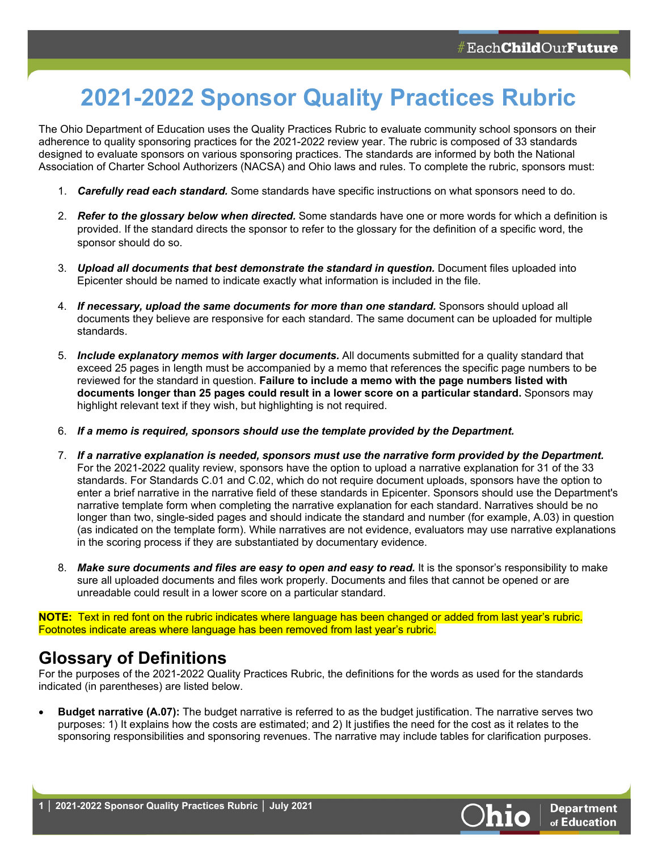# **2021-2022 Sponsor Quality Practices Rubric**

The Ohio Department of Education uses the Quality Practices Rubric to evaluate community school sponsors on their adherence to quality sponsoring practices for the 2021-2022 review year. The rubric is composed of 33 standards designed to evaluate sponsors on various sponsoring practices. The standards are informed by both the National Association of Charter School Authorizers (NACSA) and Ohio laws and rules. To complete the rubric, sponsors must:

- 1. *Carefully read each standard.* Some standards have specific instructions on what sponsors need to do.
- 2. *Refer to the glossary below when directed.* Some standards have one or more words for which a definition is provided. If the standard directs the sponsor to refer to the glossary for the definition of a specific word, the sponsor should do so.
- 3. *Upload all documents that best demonstrate the standard in question.* Document files uploaded into Epicenter should be named to indicate exactly what information is included in the file.
- 4. **If necessary, upload the same documents for more than one standard.** Sponsors should upload all documents they believe are responsive for each standard. The same document can be uploaded for multiple standards.
- 5. *Include explanatory memos with larger documents.* All documents submitted for a quality standard that exceed 25 pages in length must be accompanied by a memo that references the specific page numbers to be reviewed for the standard in question. **Failure to include a memo with the page numbers listed with documents longer than 25 pages could result in a lower score on a particular standard.** Sponsors may highlight relevant text if they wish, but highlighting is not required.
- 6. *If a memo is required, sponsors should use the template provided by the Department.*
- 7. *If a narrative explanation is needed, sponsors must use the narrative form provided by the Department.* For the 2021-2022 quality review, sponsors have the option to upload a narrative explanation for 31 of the 33 standards. For Standards C.01 and C.02, which do not require document uploads, sponsors have the option to enter a brief narrative in the narrative field of these standards in Epicenter. Sponsors should use the Department's narrative template form when completing the narrative explanation for each standard. Narratives should be no longer than two, single-sided pages and should indicate the standard and number (for example, A.03) in question (as indicated on the template form). While narratives are not evidence, evaluators may use narrative explanations in the scoring process if they are substantiated by documentary evidence.
- 8. *Make sure documents and files are easy to open and easy to read.* It is the sponsor's responsibility to make sure all uploaded documents and files work properly. Documents and files that cannot be opened or are unreadable could result in a lower score on a particular standard.

**NOTE:** Text in red font on the rubric indicates where language has been changed or added from last year's rubric. Footnotes indicate areas where language has been removed from last year's rubric.

# **Glossary of Definitions**

For the purposes of the 2021-2022 Quality Practices Rubric, the definitions for the words as used for the standards indicated (in parentheses) are listed below.

**Budget narrative (A.07):** The budget narrative is referred to as the budget iustification. The narrative serves two purposes: 1) It explains how the costs are estimated; and 2) It justifies the need for the cost as it relates to the sponsoring responsibilities and sponsoring revenues. The narrative may include tables for clarification purposes.

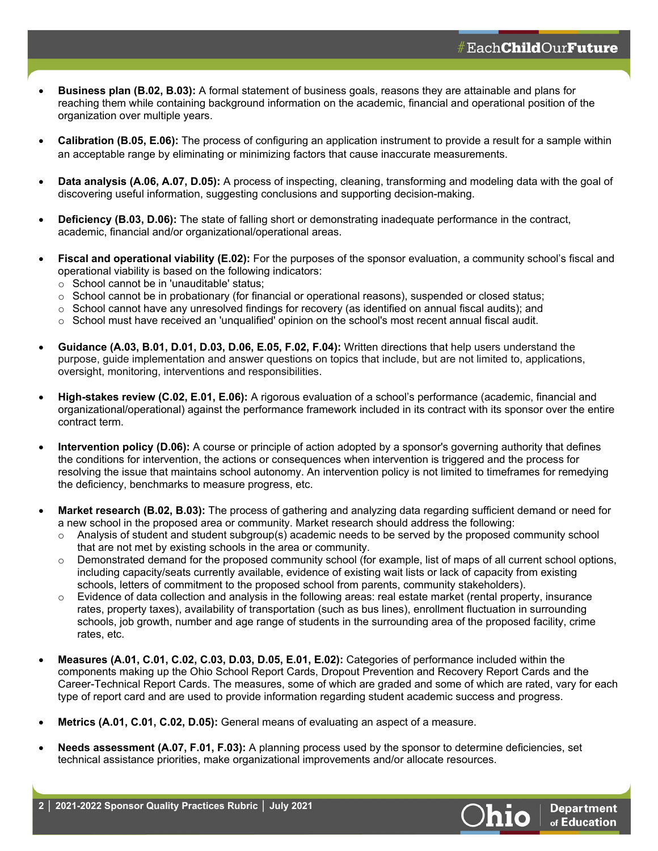- **Business plan (B.02, B.03):** A formal statement of business goals, reasons they are attainable and plans for reaching them while containing background information on the academic, financial and operational position of the organization over multiple years.
- **Calibration (B.05, E.06):** The process of configuring an application instrument to provide a result for a sample within an acceptable range by eliminating or minimizing factors that cause inaccurate measurements.
- **Data analysis (A.06, A.07, D.05):** A process of inspecting, cleaning, transforming and modeling data with the goal of discovering useful information, suggesting conclusions and supporting decision-making.
- **Deficiency (B.03, D.06):** The state of falling short or demonstrating inadequate performance in the contract, academic, financial and/or organizational/operational areas.
- **Fiscal and operational viability (E.02):** For the purposes of the sponsor evaluation, a community school's fiscal and operational viability is based on the following indicators:
	- o School cannot be in 'unauditable' status;
	- o School cannot be in probationary (for financial or operational reasons), suspended or closed status;
	- $\circ$  School cannot have any unresolved findings for recovery (as identified on annual fiscal audits); and
	- $\circ$  School must have received an 'unqualified' opinion on the school's most recent annual fiscal audit.
- **Guidance (A.03, B.01, D.01, D.03, D.06, E.05, F.02, F.04):** Written directions that help users understand the purpose, guide implementation and answer questions on topics that include, but are not limited to, applications, oversight, monitoring, interventions and responsibilities.
- **High-stakes review (C.02, E.01, E.06):** A rigorous evaluation of a school's performance (academic, financial and organizational/operational) against the performance framework included in its contract with its sponsor over the entire contract term.
- **Intervention policy (D.06):** A course or principle of action adopted by a sponsor's governing authority that defines the conditions for intervention, the actions or consequences when intervention is triggered and the process for resolving the issue that maintains school autonomy. An intervention policy is not limited to timeframes for remedying the deficiency, benchmarks to measure progress, etc.
- **Market research (B.02, B.03):** The process of gathering and analyzing data regarding sufficient demand or need for a new school in the proposed area or community. Market research should address the following:
	- $\circ$  Analysis of student and student subgroup(s) academic needs to be served by the proposed community school that are not met by existing schools in the area or community.
	- $\circ$  Demonstrated demand for the proposed community school (for example, list of maps of all current school options, including capacity/seats currently available, evidence of existing wait lists or lack of capacity from existing schools, letters of commitment to the proposed school from parents, community stakeholders).
	- o Evidence of data collection and analysis in the following areas: real estate market (rental property, insurance rates, property taxes), availability of transportation (such as bus lines), enrollment fluctuation in surrounding schools, job growth, number and age range of students in the surrounding area of the proposed facility, crime rates, etc.
- **Measures (A.01, C.01, C.02, C.03, D.03, D.05, E.01, E.02):** Categories of performance included within the components making up the Ohio School Report Cards, Dropout Prevention and Recovery Report Cards and the Career-Technical Report Cards. The measures, some of which are graded and some of which are rated, vary for each type of report card and are used to provide information regarding student academic success and progress.
- **Metrics (A.01, C.01, C.02, D.05):** General means of evaluating an aspect of a measure.
- **Needs assessment (A.07, F.01, F.03):** A planning process used by the sponsor to determine deficiencies, set technical assistance priorities, make organizational improvements and/or allocate resources.

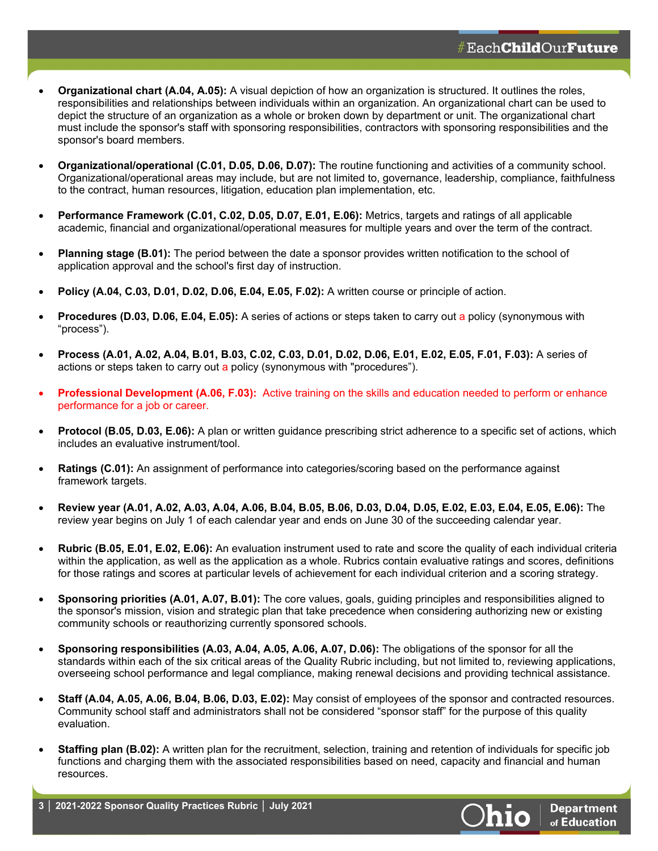- **Organizational chart (A.04, A.05):** A visual depiction of how an organization is structured. It outlines the roles, responsibilities and relationships between individuals within an organization. An organizational chart can be used to depict the structure of an organization as a whole or broken down by department or unit. The organizational chart must include the sponsor's staff with sponsoring responsibilities, contractors with sponsoring responsibilities and the sponsor's board members.
- **Organizational/operational (C.01, D.05, D.06, D.07):** The routine functioning and activities of a community school. Organizational/operational areas may include, but are not limited to, governance, leadership, compliance, faithfulness to the contract, human resources, litigation, education plan implementation, etc.
- **Performance Framework (C.01, C.02, D.05, D.07, E.01, E.06):** Metrics, targets and ratings of all applicable academic, financial and organizational/operational measures for multiple years and over the term of the contract.
- **Planning stage (B.01):** The period between the date a sponsor provides written notification to the school of application approval and the school's first day of instruction.
- **Policy (A.04, C.03, D.01, D.02, D.06, E.04, E.05, F.02):** A written course or principle of action.
- **Procedures (D.03, D.06, E.04, E.05):** A series of actions or steps taken to carry out a policy (synonymous with "process").
- **Process (A.01, A.02, A.04, B.01, B.03, C.02, C.03, D.01, D.02, D.06, E.01, E.02, E.05, F.01, F.03):** A series of actions or steps taken to carry out a policy (synonymous with "procedures").
- **Professional Development (A.06, F.03):** Active training on the skills and education needed to perform or enhance performance for a job or career.
- **Protocol (B.05, D.03, E.06):** A plan or written guidance prescribing strict adherence to a specific set of actions, which includes an evaluative instrument/tool.
- **Ratings (C.01):** An assignment of performance into categories/scoring based on the performance against framework targets.
- **Review year (A.01, A.02, A.03, A.04, A.06, B.04, B.05, B.06, D.03, D.04, D.05, E.02, E.03, E.04, E.05, E.06):** The review year begins on July 1 of each calendar year and ends on June 30 of the succeeding calendar year.
- **Rubric (B.05, E.01, E.02, E.06):** An evaluation instrument used to rate and score the quality of each individual criteria within the application, as well as the application as a whole. Rubrics contain evaluative ratings and scores, definitions for those ratings and scores at particular levels of achievement for each individual criterion and a scoring strategy.
- **Sponsoring priorities (A.01, A.07, B.01):** The core values, goals, guiding principles and responsibilities aligned to the sponsor's mission, vision and strategic plan that take precedence when considering authorizing new or existing community schools or reauthorizing currently sponsored schools.
- **Sponsoring responsibilities (A.03, A.04, A.05, A.06, A.07, D.06):** The obligations of the sponsor for all the standards within each of the six critical areas of the Quality Rubric including, but not limited to, reviewing applications, overseeing school performance and legal compliance, making renewal decisions and providing technical assistance.
- **Staff (A.04, A.05, A.06, B.04, B.06, D.03, E.02):** May consist of employees of the sponsor and contracted resources. Community school staff and administrators shall not be considered "sponsor staff" for the purpose of this quality evaluation.
- **Staffing plan (B.02):** A written plan for the recruitment, selection, training and retention of individuals for specific job functions and charging them with the associated responsibilities based on need, capacity and financial and human resources.

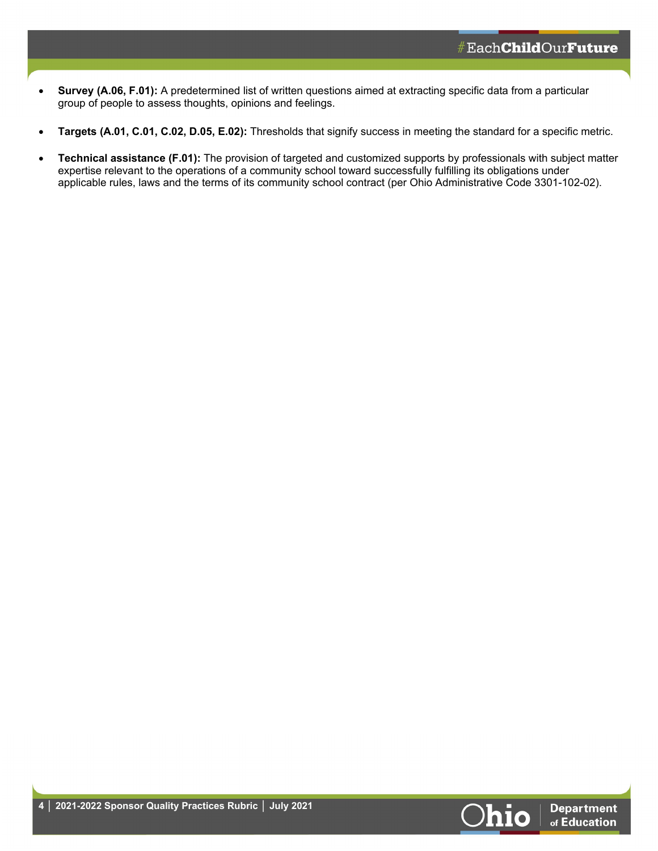- **Survey (A.06, F.01):** A predetermined list of written questions aimed at extracting specific data from a particular group of people to assess thoughts, opinions and feelings.
- **Targets (A.01, C.01, C.02, D.05, E.02):** Thresholds that signify success in meeting the standard for a specific metric.
- **Technical assistance (F.01):** The provision of targeted and customized supports by professionals with subject matter expertise relevant to the operations of a community school toward successfully fulfilling its obligations under applicable rules, laws and the terms of its community school contract (per Ohio Administrative Code 3301-102-02).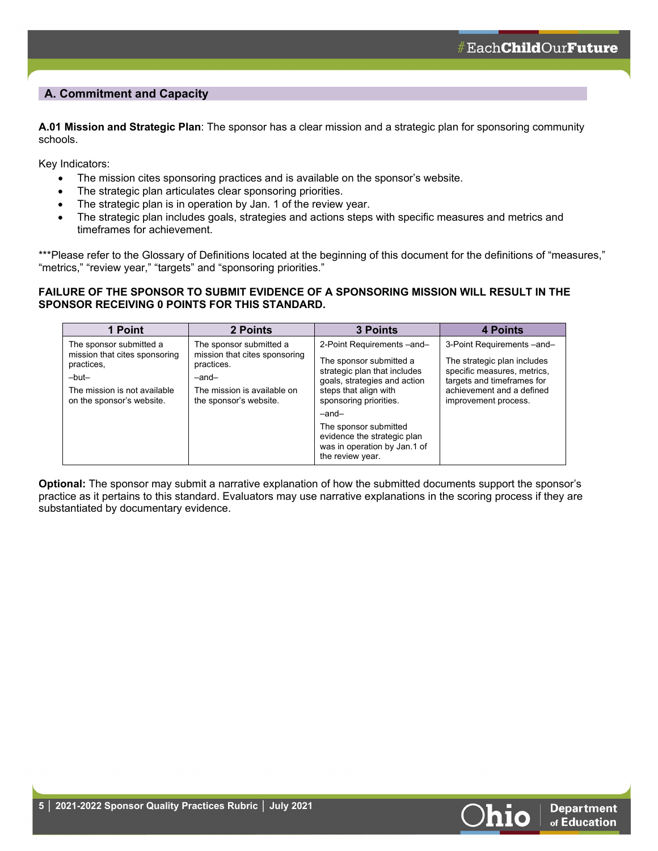# **A. Commitment and Capacity**

**A.01 Mission and Strategic Plan**: The sponsor has a clear mission and a strategic plan for sponsoring community schools.

Key Indicators:

- The mission cites sponsoring practices and is available on the sponsor's website.
- The strategic plan articulates clear sponsoring priorities.
- The strategic plan is in operation by Jan. 1 of the review year.
- The strategic plan includes goals, strategies and actions steps with specific measures and metrics and timeframes for achievement.

\*\*\*Please refer to the Glossary of Definitions located at the beginning of this document for the definitions of "measures," "metrics," "review year," "targets" and "sponsoring priorities."

#### **FAILURE OF THE SPONSOR TO SUBMIT EVIDENCE OF A SPONSORING MISSION WILL RESULT IN THE SPONSOR RECEIVING 0 POINTS FOR THIS STANDARD.**

| 1 Point                                                                                                                                        | 2 Points                                                                                                                                 | <b>3 Points</b>                                                                                                                                                                                                                                                                               | <b>4 Points</b>                                                                                                                                                             |
|------------------------------------------------------------------------------------------------------------------------------------------------|------------------------------------------------------------------------------------------------------------------------------------------|-----------------------------------------------------------------------------------------------------------------------------------------------------------------------------------------------------------------------------------------------------------------------------------------------|-----------------------------------------------------------------------------------------------------------------------------------------------------------------------------|
| The sponsor submitted a<br>mission that cites sponsoring<br>practices,<br>$-but-$<br>The mission is not available<br>on the sponsor's website. | The sponsor submitted a<br>mission that cites sponsoring<br>practices.<br>-and-<br>The mission is available on<br>the sponsor's website. | 2-Point Requirements -and-<br>The sponsor submitted a<br>strategic plan that includes<br>goals, strategies and action<br>steps that align with<br>sponsoring priorities.<br>-and-<br>The sponsor submitted<br>evidence the strategic plan<br>was in operation by Jan.1 of<br>the review year. | 3-Point Requirements -and-<br>The strategic plan includes<br>specific measures, metrics,<br>targets and timeframes for<br>achievement and a defined<br>improvement process. |

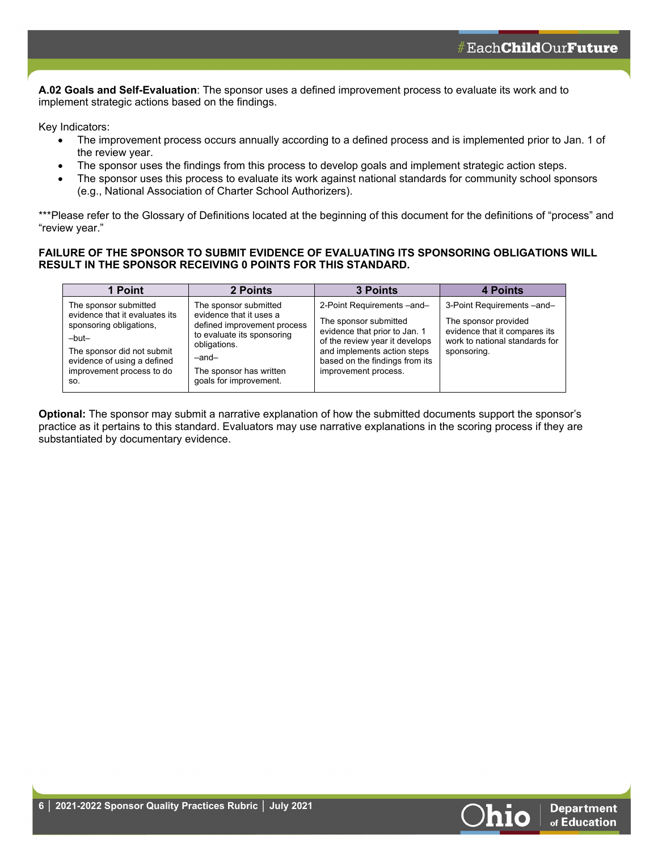**A.02 Goals and Self-Evaluation**: The sponsor uses a defined improvement process to evaluate its work and to implement strategic actions based on the findings.

Key Indicators:

- The improvement process occurs annually according to a defined process and is implemented prior to Jan. 1 of the review year.
- The sponsor uses the findings from this process to develop goals and implement strategic action steps.
- The sponsor uses this process to evaluate its work against national standards for community school sponsors (e.g., National Association of Charter School Authorizers).

\*\*\*Please refer to the Glossary of Definitions located at the beginning of this document for the definitions of "process" and "review year."

#### **FAILURE OF THE SPONSOR TO SUBMIT EVIDENCE OF EVALUATING ITS SPONSORING OBLIGATIONS WILL RESULT IN THE SPONSOR RECEIVING 0 POINTS FOR THIS STANDARD.**

| 1 Point                                                                                                                                                                                        | 2 Points                                                                                                                                                                                    | <b>3 Points</b>                                                                                                                                                                                                 | 4 Points                                                                                                                             |
|------------------------------------------------------------------------------------------------------------------------------------------------------------------------------------------------|---------------------------------------------------------------------------------------------------------------------------------------------------------------------------------------------|-----------------------------------------------------------------------------------------------------------------------------------------------------------------------------------------------------------------|--------------------------------------------------------------------------------------------------------------------------------------|
| The sponsor submitted<br>evidence that it evaluates its<br>sponsoring obligations.<br>$-but-$<br>The sponsor did not submit<br>evidence of using a defined<br>improvement process to do<br>SO. | The sponsor submitted<br>evidence that it uses a<br>defined improvement process<br>to evaluate its sponsoring<br>obligations.<br>-and-<br>The sponsor has written<br>goals for improvement. | 2-Point Requirements -and-<br>The sponsor submitted<br>evidence that prior to Jan. 1<br>of the review year it develops<br>and implements action steps<br>based on the findings from its<br>improvement process. | 3-Point Requirements -and-<br>The sponsor provided<br>evidence that it compares its<br>work to national standards for<br>sponsoring. |

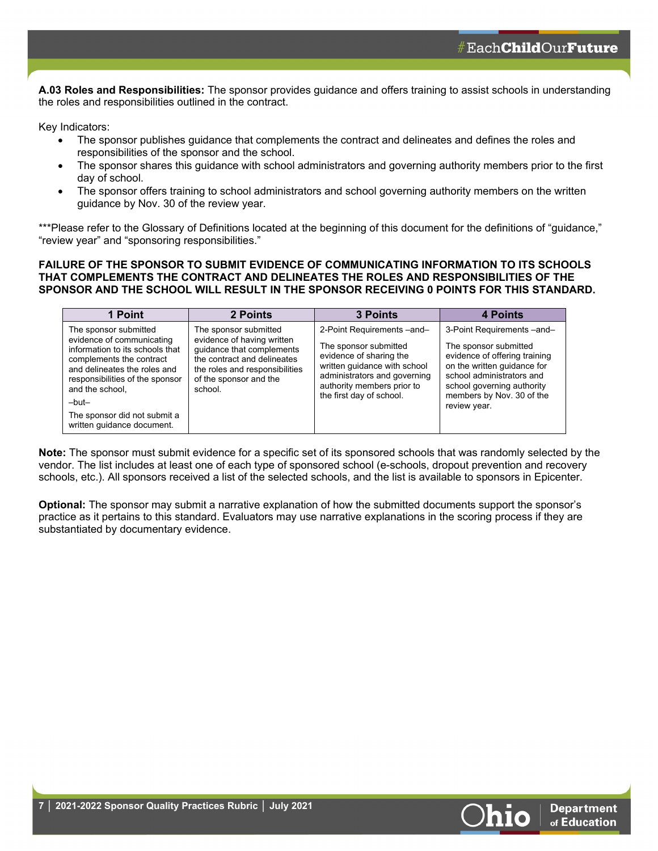**A.03 Roles and Responsibilities:** The sponsor provides guidance and offers training to assist schools in understanding the roles and responsibilities outlined in the contract.

Key Indicators:

- The sponsor publishes guidance that complements the contract and delineates and defines the roles and responsibilities of the sponsor and the school.
- The sponsor shares this guidance with school administrators and governing authority members prior to the first day of school.
- The sponsor offers training to school administrators and school governing authority members on the written guidance by Nov. 30 of the review year.

\*\*\*Please refer to the Glossary of Definitions located at the beginning of this document for the definitions of "guidance," "review year" and "sponsoring responsibilities."

#### **FAILURE OF THE SPONSOR TO SUBMIT EVIDENCE OF COMMUNICATING INFORMATION TO ITS SCHOOLS THAT COMPLEMENTS THE CONTRACT AND DELINEATES THE ROLES AND RESPONSIBILITIES OF THE SPONSOR AND THE SCHOOL WILL RESULT IN THE SPONSOR RECEIVING 0 POINTS FOR THIS STANDARD.**

| 1 Point                                                                                                                                                                                   | 2 Points                                                                                                                                                      | <b>3 Points</b>                                                                                                                                                            | 4 Points                                                                                                                                                                      |
|-------------------------------------------------------------------------------------------------------------------------------------------------------------------------------------------|---------------------------------------------------------------------------------------------------------------------------------------------------------------|----------------------------------------------------------------------------------------------------------------------------------------------------------------------------|-------------------------------------------------------------------------------------------------------------------------------------------------------------------------------|
| The sponsor submitted                                                                                                                                                                     | The sponsor submitted                                                                                                                                         | 2-Point Requirements -and-                                                                                                                                                 | 3-Point Requirements -and-                                                                                                                                                    |
| evidence of communicating<br>information to its schools that<br>complements the contract<br>and delineates the roles and<br>responsibilities of the sponsor<br>and the school,<br>$-but-$ | evidence of having written<br>quidance that complements<br>the contract and delineates<br>the roles and responsibilities<br>of the sponsor and the<br>school. | The sponsor submitted<br>evidence of sharing the<br>written quidance with school<br>administrators and governing<br>authority members prior to<br>the first day of school. | The sponsor submitted<br>evidence of offering training<br>on the written quidance for<br>school administrators and<br>school governing authority<br>members by Nov. 30 of the |
| The sponsor did not submit a<br>written quidance document.                                                                                                                                |                                                                                                                                                               |                                                                                                                                                                            | review year.                                                                                                                                                                  |

**Note:** The sponsor must submit evidence for a specific set of its sponsored schools that was randomly selected by the vendor. The list includes at least one of each type of sponsored school (e-schools, dropout prevention and recovery schools, etc.). All sponsors received a list of the selected schools, and the list is available to sponsors in Epicenter.

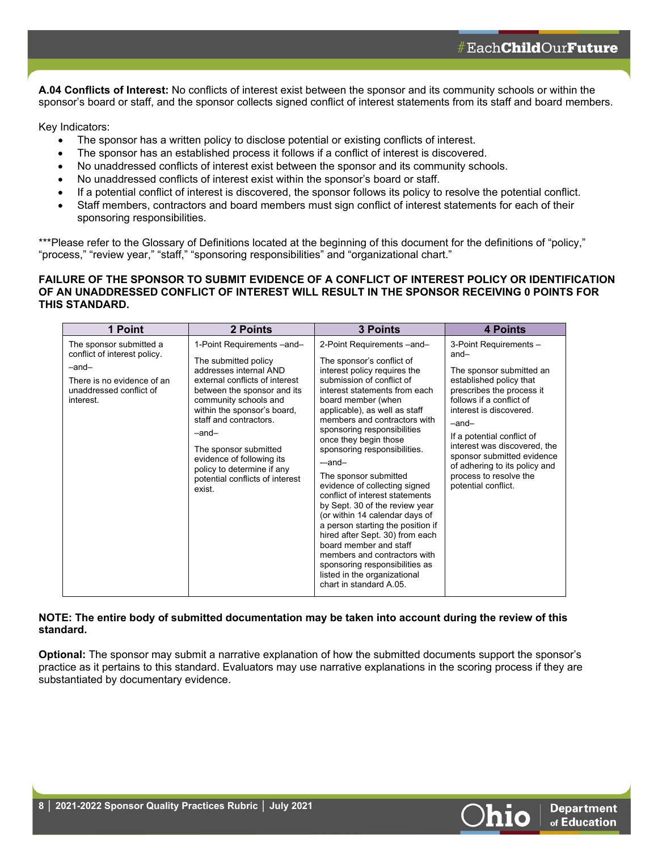**A.04 Conflicts of Interest:** No conflicts of interest exist between the sponsor and its community schools or within the sponsor's board or staff, and the sponsor collects signed conflict of interest statements from its staff and board members.

Key Indicators:

- The sponsor has a written policy to disclose potential or existing conflicts of interest.
- The sponsor has an established process it follows if a conflict of interest is discovered.
- No unaddressed conflicts of interest exist between the sponsor and its community schools.
- No unaddressed conflicts of interest exist within the sponsor's board or staff.
- If a potential conflict of interest is discovered, the sponsor follows its policy to resolve the potential conflict.
- Staff members, contractors and board members must sign conflict of interest statements for each of their sponsoring responsibilities.

\*\*\*Please refer to the Glossary of Definitions located at the beginning of this document for the definitions of "policy," "process," "review year," "staff," "sponsoring responsibilities" and "organizational chart."

#### **FAILURE OF THE SPONSOR TO SUBMIT EVIDENCE OF A CONFLICT OF INTEREST POLICY OR IDENTIFICATION OF AN UNADDRESSED CONFLICT OF INTEREST WILL RESULT IN THE SPONSOR RECEIVING 0 POINTS FOR THIS STANDARD.**

| 1 Point                                                                                                                                      | 2 Points                                                                                                                                                                                                                                                                                                                                                                        | <b>3 Points</b>                                                                                                                                                                                                                                                                                                                                                                                                                                                                                                                                                                                                                                                                                                                                | <b>4 Points</b>                                                                                                                                                                                                                                                                                                                                                          |
|----------------------------------------------------------------------------------------------------------------------------------------------|---------------------------------------------------------------------------------------------------------------------------------------------------------------------------------------------------------------------------------------------------------------------------------------------------------------------------------------------------------------------------------|------------------------------------------------------------------------------------------------------------------------------------------------------------------------------------------------------------------------------------------------------------------------------------------------------------------------------------------------------------------------------------------------------------------------------------------------------------------------------------------------------------------------------------------------------------------------------------------------------------------------------------------------------------------------------------------------------------------------------------------------|--------------------------------------------------------------------------------------------------------------------------------------------------------------------------------------------------------------------------------------------------------------------------------------------------------------------------------------------------------------------------|
| The sponsor submitted a<br>conflict of interest policy.<br>$-$ and $-$<br>There is no evidence of an<br>unaddressed conflict of<br>interest. | 1-Point Requirements -and-<br>The submitted policy<br>addresses internal AND<br>external conflicts of interest<br>between the sponsor and its<br>community schools and<br>within the sponsor's board,<br>staff and contractors.<br>$-$ and $-$<br>The sponsor submitted<br>evidence of following its<br>policy to determine if any<br>potential conflicts of interest<br>exist. | 2-Point Requirements -and-<br>The sponsor's conflict of<br>interest policy requires the<br>submission of conflict of<br>interest statements from each<br>board member (when<br>applicable), as well as staff<br>members and contractors with<br>sponsoring responsibilities<br>once they begin those<br>sponsoring responsibilities.<br>--and-<br>The sponsor submitted<br>evidence of collecting signed<br>conflict of interest statements<br>by Sept. 30 of the review year<br>(or within 14 calendar days of<br>a person starting the position if<br>hired after Sept. 30) from each<br>board member and staff<br>members and contractors with<br>sponsoring responsibilities as<br>listed in the organizational<br>chart in standard A.05. | 3-Point Requirements -<br>$and-$<br>The sponsor submitted an<br>established policy that<br>prescribes the process it<br>follows if a conflict of<br>interest is discovered.<br>$-$ and $-$<br>If a potential conflict of<br>interest was discovered, the<br>sponsor submitted evidence<br>of adhering to its policy and<br>process to resolve the<br>potential conflict. |

#### **NOTE: The entire body of submitted documentation may be taken into account during the review of this standard.**

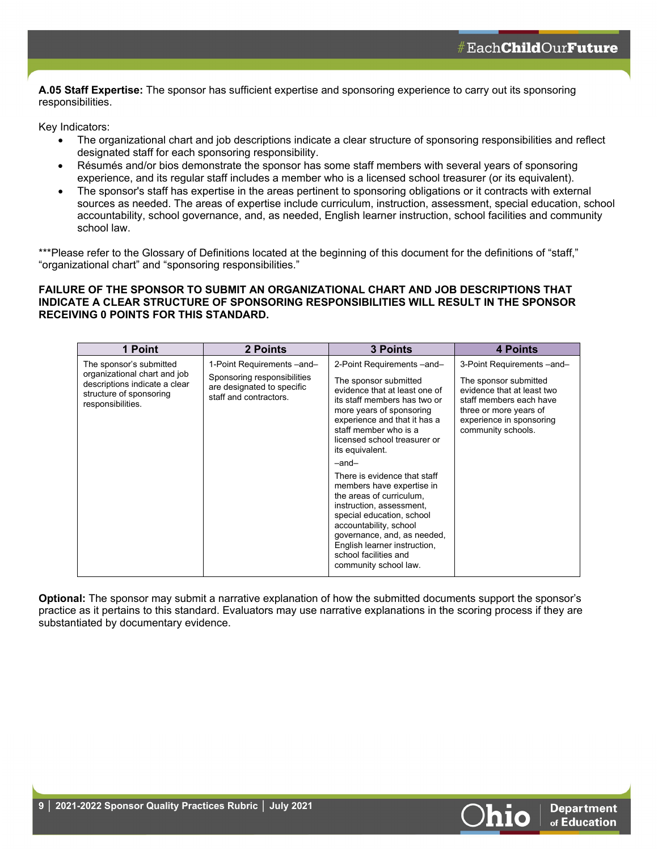**A.05 Staff Expertise:** The sponsor has sufficient expertise and sponsoring experience to carry out its sponsoring responsibilities.

Key Indicators:

- The organizational chart and job descriptions indicate a clear structure of sponsoring responsibilities and reflect designated staff for each sponsoring responsibility.
- Résumés and/or bios demonstrate the sponsor has some staff members with several years of sponsoring experience, and its regular staff includes a member who is a licensed school treasurer (or its equivalent).
- The sponsor's staff has expertise in the areas pertinent to sponsoring obligations or it contracts with external sources as needed. The areas of expertise include curriculum, instruction, assessment, special education, school accountability, school governance, and, as needed, English learner instruction, school facilities and community school law.

\*\*\*Please refer to the Glossary of Definitions located at the beginning of this document for the definitions of "staff," "organizational chart" and "sponsoring responsibilities."

#### **FAILURE OF THE SPONSOR TO SUBMIT AN ORGANIZATIONAL CHART AND JOB DESCRIPTIONS THAT INDICATE A CLEAR STRUCTURE OF SPONSORING RESPONSIBILITIES WILL RESULT IN THE SPONSOR RECEIVING 0 POINTS FOR THIS STANDARD.**

| 1 Point                                                                                                       | 2 Points                                                                            | <b>3 Points</b>                                                                                                                                                                                                                                                                           | <b>4 Points</b>                                                                                                                                            |
|---------------------------------------------------------------------------------------------------------------|-------------------------------------------------------------------------------------|-------------------------------------------------------------------------------------------------------------------------------------------------------------------------------------------------------------------------------------------------------------------------------------------|------------------------------------------------------------------------------------------------------------------------------------------------------------|
| The sponsor's submitted                                                                                       | 1-Point Requirements -and-                                                          | 2-Point Requirements -and-                                                                                                                                                                                                                                                                | 3-Point Requirements -and-                                                                                                                                 |
| organizational chart and job<br>descriptions indicate a clear<br>structure of sponsoring<br>responsibilities. | Sponsoring responsibilities<br>are designated to specific<br>staff and contractors. | The sponsor submitted<br>evidence that at least one of<br>its staff members has two or<br>more years of sponsoring<br>experience and that it has a<br>staff member who is a<br>licensed school treasurer or<br>its equivalent.<br>-and-                                                   | The sponsor submitted<br>evidence that at least two<br>staff members each have<br>three or more years of<br>experience in sponsoring<br>community schools. |
|                                                                                                               |                                                                                     | There is evidence that staff<br>members have expertise in<br>the areas of curriculum.<br>instruction, assessment,<br>special education, school<br>accountability, school<br>governance, and, as needed,<br>English learner instruction,<br>school facilities and<br>community school law. |                                                                                                                                                            |

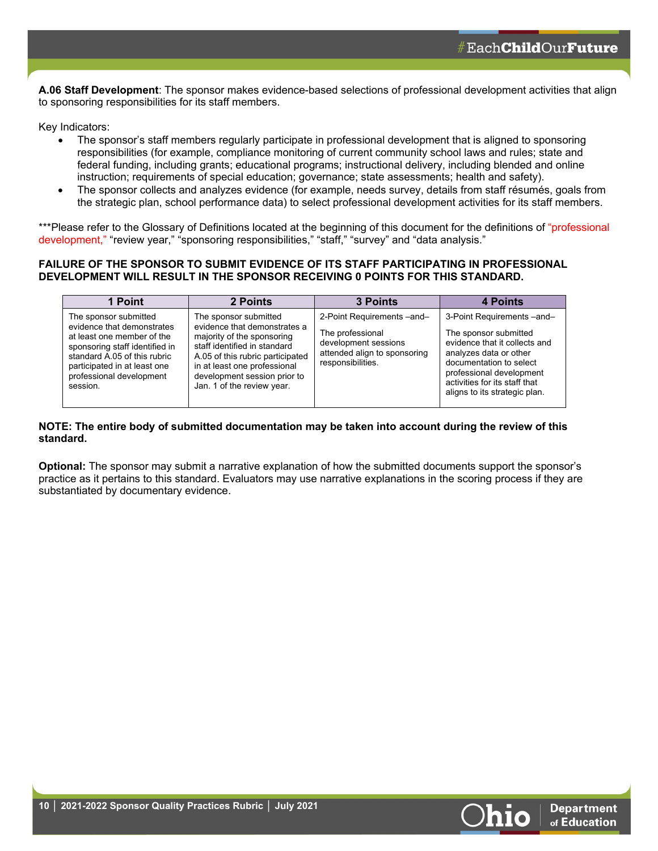**A.06 Staff Development**: The sponsor makes evidence-based selections of professional development activities that align to sponsoring responsibilities for its staff members.

Key Indicators:

- The sponsor's staff members regularly participate in professional development that is aligned to sponsoring responsibilities (for example, compliance monitoring of current community school laws and rules; state and federal funding, including grants; educational programs; instructional delivery, including blended and online instruction; requirements of special education; governance; state assessments; health and safety).
- The sponsor collects and analyzes evidence (for example, needs survey, details from staff résumés, goals from the strategic plan, school performance data) to select professional development activities for its staff members.

\*\*\*Please refer to the Glossary of Definitions located at the beginning of this document for the definitions of "professional" development," "review year," "sponsoring responsibilities," "staff," "survey" and "data analysis."

#### **FAILURE OF THE SPONSOR TO SUBMIT EVIDENCE OF ITS STAFF PARTICIPATING IN PROFESSIONAL DEVELOPMENT WILL RESULT IN THE SPONSOR RECEIVING 0 POINTS FOR THIS STANDARD.**

| 1 Point                                                                                                                                                                                                                     | 2 Points                                                                                                                                                                                                                                              | <b>3 Points</b>                                                                                                             | 4 Points                                                                                                                                                                                                                                |
|-----------------------------------------------------------------------------------------------------------------------------------------------------------------------------------------------------------------------------|-------------------------------------------------------------------------------------------------------------------------------------------------------------------------------------------------------------------------------------------------------|-----------------------------------------------------------------------------------------------------------------------------|-----------------------------------------------------------------------------------------------------------------------------------------------------------------------------------------------------------------------------------------|
| The sponsor submitted<br>evidence that demonstrates<br>at least one member of the<br>sponsoring staff identified in<br>standard A.05 of this rubric<br>participated in at least one<br>professional development<br>session. | The sponsor submitted<br>evidence that demonstrates a<br>majority of the sponsoring<br>staff identified in standard<br>A.05 of this rubric participated<br>in at least one professional<br>development session prior to<br>Jan. 1 of the review year. | 2-Point Requirements -and-<br>The professional<br>development sessions<br>attended align to sponsoring<br>responsibilities. | 3-Point Requirements -and-<br>The sponsor submitted<br>evidence that it collects and<br>analyzes data or other<br>documentation to select<br>professional development<br>activities for its staff that<br>aligns to its strategic plan. |

#### **NOTE: The entire body of submitted documentation may be taken into account during the review of this standard.**

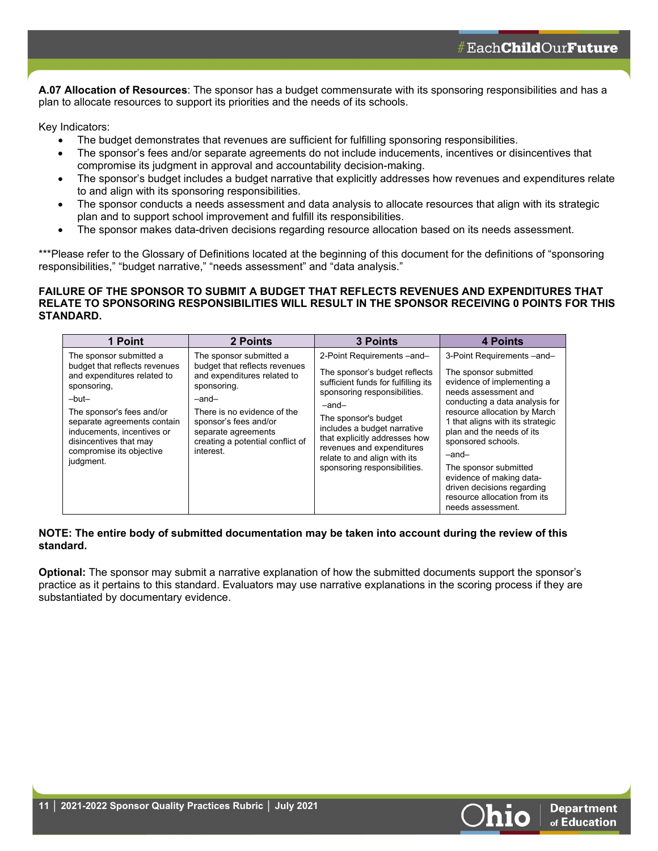**A.07 Allocation of Resources**: The sponsor has a budget commensurate with its sponsoring responsibilities and has a plan to allocate resources to support its priorities and the needs of its schools.

Key Indicators:

- The budget demonstrates that revenues are sufficient for fulfilling sponsoring responsibilities.
- The sponsor's fees and/or separate agreements do not include inducements, incentives or disincentives that compromise its judgment in approval and accountability decision-making.
- The sponsor's budget includes a budget narrative that explicitly addresses how revenues and expenditures relate to and align with its sponsoring responsibilities.
- The sponsor conducts a needs assessment and data analysis to allocate resources that align with its strategic plan and to support school improvement and fulfill its responsibilities.
- The sponsor makes data-driven decisions regarding resource allocation based on its needs assessment.

\*\*\*Please refer to the Glossary of Definitions located at the beginning of this document for the definitions of "sponsoring responsibilities," "budget narrative," "needs assessment" and "data analysis."

#### **FAILURE OF THE SPONSOR TO SUBMIT A BUDGET THAT REFLECTS REVENUES AND EXPENDITURES THAT RELATE TO SPONSORING RESPONSIBILITIES WILL RESULT IN THE SPONSOR RECEIVING 0 POINTS FOR THIS STANDARD.**

| 1 Point                                                                                                                                                                                                                                                                        | 2 Points                                                                                                                                                                                                                                              | <b>3 Points</b>                                                                                                                                                                                                                                                                                                                 | 4 Points                                                                                                                                                                                                                                                                                                                                                                                                            |
|--------------------------------------------------------------------------------------------------------------------------------------------------------------------------------------------------------------------------------------------------------------------------------|-------------------------------------------------------------------------------------------------------------------------------------------------------------------------------------------------------------------------------------------------------|---------------------------------------------------------------------------------------------------------------------------------------------------------------------------------------------------------------------------------------------------------------------------------------------------------------------------------|---------------------------------------------------------------------------------------------------------------------------------------------------------------------------------------------------------------------------------------------------------------------------------------------------------------------------------------------------------------------------------------------------------------------|
| The sponsor submitted a<br>budget that reflects revenues<br>and expenditures related to<br>sponsoring,<br>$-but-$<br>The sponsor's fees and/or<br>separate agreements contain<br>inducements, incentives or<br>disincentives that may<br>compromise its objective<br>judgment. | The sponsor submitted a<br>budget that reflects revenues<br>and expenditures related to<br>sponsoring.<br>$-$ and $-$<br>There is no evidence of the<br>sponsor's fees and/or<br>separate agreements<br>creating a potential conflict of<br>interest. | 2-Point Requirements-and-<br>The sponsor's budget reflects<br>sufficient funds for fulfilling its<br>sponsoring responsibilities.<br>-and-<br>The sponsor's budget<br>includes a budget narrative<br>that explicitly addresses how<br>revenues and expenditures<br>relate to and align with its<br>sponsoring responsibilities. | 3-Point Requirements -and-<br>The sponsor submitted<br>evidence of implementing a<br>needs assessment and<br>conducting a data analysis for<br>resource allocation by March<br>1 that aligns with its strategic<br>plan and the needs of its<br>sponsored schools.<br>-and-<br>The sponsor submitted<br>evidence of making data-<br>driven decisions regarding<br>resource allocation from its<br>needs assessment. |

#### **NOTE: The entire body of submitted documentation may be taken into account during the review of this standard.**

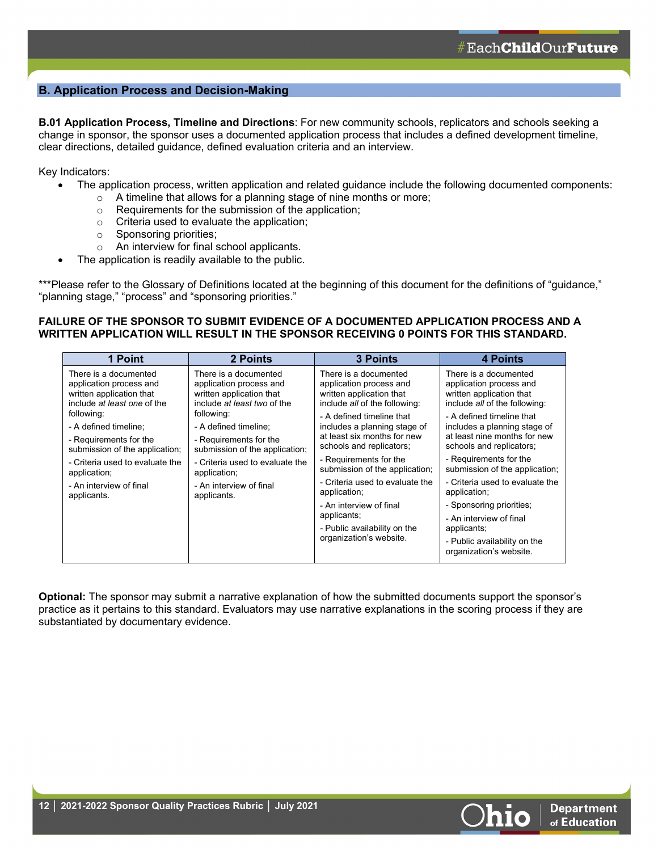# **B. Application Process and Decision-Making**

**B.01 Application Process, Timeline and Directions**: For new community schools, replicators and schools seeking a change in sponsor, the sponsor uses a documented application process that includes a defined development timeline, clear directions, detailed guidance, defined evaluation criteria and an interview.

Key Indicators:

- The application process, written application and related guidance include the following documented components:
	- $\circ$  A timeline that allows for a planning stage of nine months or more;
	- $\circ$  Requirements for the submission of the application:
	- o Criteria used to evaluate the application;
	- o Sponsoring priorities;
	- o An interview for final school applicants.
	- The application is readily available to the public.

\*\*\*Please refer to the Glossary of Definitions located at the beginning of this document for the definitions of "guidance," "planning stage," "process" and "sponsoring priorities."

#### **FAILURE OF THE SPONSOR TO SUBMIT EVIDENCE OF A DOCUMENTED APPLICATION PROCESS AND A WRITTEN APPLICATION WILL RESULT IN THE SPONSOR RECEIVING 0 POINTS FOR THIS STANDARD.**

| 1 Point                         | 2 Points                        | <b>3 Points</b>                             | 4 Points                                                |
|---------------------------------|---------------------------------|---------------------------------------------|---------------------------------------------------------|
| There is a documented           | There is a documented           | There is a documented                       | There is a documented                                   |
| application process and         | application process and         | application process and                     | application process and                                 |
| written application that        | written application that        | written application that                    | written application that                                |
| include at least one of the     | include at least two of the     | include all of the following:               | include all of the following:                           |
| following:                      | following:                      | - A defined timeline that                   | - A defined timeline that                               |
| - A defined timeline;           | - A defined timeline;           | includes a planning stage of                | includes a planning stage of                            |
| - Requirements for the          | - Requirements for the          | at least six months for new                 | at least nine months for new                            |
| submission of the application;  | submission of the application;  | schools and replicators;                    | schools and replicators;                                |
| - Criteria used to evaluate the | - Criteria used to evaluate the | - Requirements for the                      | - Requirements for the                                  |
| application;                    | application;                    | submission of the application;              | submission of the application;                          |
| - An interview of final         | - An interview of final         | - Criteria used to evaluate the             | - Criteria used to evaluate the                         |
| applicants.                     | applicants.                     | application;                                | application;                                            |
|                                 |                                 | - An interview of final                     | - Sponsoring priorities;                                |
|                                 |                                 | applicants;<br>- Public availability on the | - An interview of final<br>applicants;                  |
|                                 |                                 | organization's website.                     | - Public availability on the<br>organization's website. |

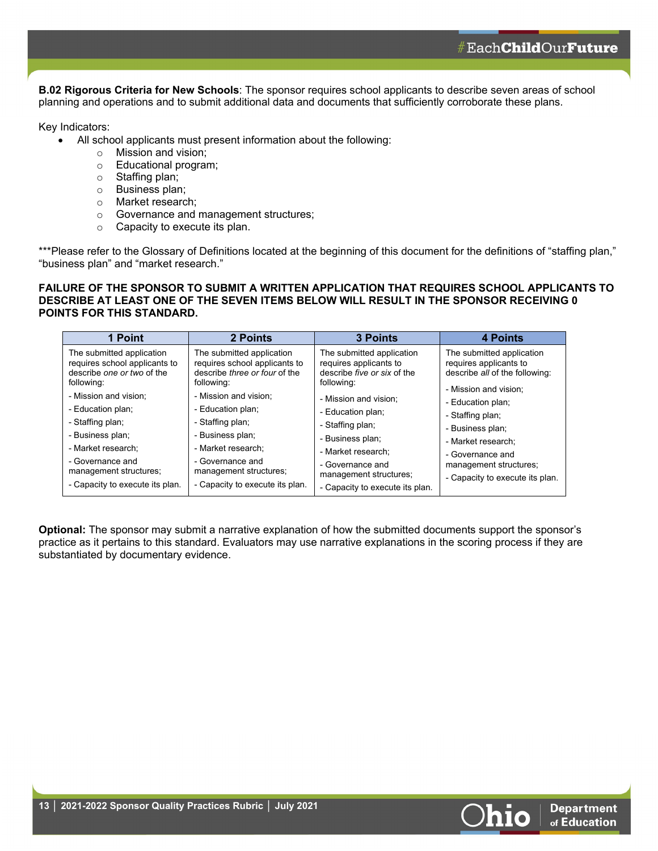**B.02 Rigorous Criteria for New Schools**: The sponsor requires school applicants to describe seven areas of school planning and operations and to submit additional data and documents that sufficiently corroborate these plans.

Key Indicators:

- All school applicants must present information about the following:
	- o Mission and vision;
	- o Educational program;
	- o Staffing plan;
	- o Business plan;
	- o Market research;
	- o Governance and management structures;
	- $\circ$  Capacity to execute its plan.

\*\*\*Please refer to the Glossary of Definitions located at the beginning of this document for the definitions of "staffing plan," "business plan" and "market research."

#### **FAILURE OF THE SPONSOR TO SUBMIT A WRITTEN APPLICATION THAT REQUIRES SCHOOL APPLICANTS TO DESCRIBE AT LEAST ONE OF THE SEVEN ITEMS BELOW WILL RESULT IN THE SPONSOR RECEIVING 0 POINTS FOR THIS STANDARD.**

| 1 Point                                                                                                | 2 Points                                                                                                  | <b>3 Points</b>                                                                                  | <b>4 Points</b>                                                                                                |
|--------------------------------------------------------------------------------------------------------|-----------------------------------------------------------------------------------------------------------|--------------------------------------------------------------------------------------------------|----------------------------------------------------------------------------------------------------------------|
| The submitted application<br>requires school applicants to<br>describe one or two of the<br>following: | The submitted application<br>requires school applicants to<br>describe three or four of the<br>following: | The submitted application<br>requires applicants to<br>describe five or six of the<br>following: | The submitted application<br>requires applicants to<br>describe all of the following:<br>- Mission and vision: |
| - Mission and vision;                                                                                  | - Mission and vision:                                                                                     | - Mission and vision:                                                                            | - Education plan;                                                                                              |
| - Education plan;                                                                                      | - Education plan;                                                                                         | - Education plan;                                                                                | - Staffing plan;                                                                                               |
| - Staffing plan;                                                                                       | - Staffing plan;                                                                                          | - Staffing plan;                                                                                 | - Business plan;                                                                                               |
| - Business plan;                                                                                       | - Business plan;                                                                                          | - Business plan;                                                                                 | - Market research:                                                                                             |
| - Market research:                                                                                     | - Market research:                                                                                        | - Market research:                                                                               | - Governance and                                                                                               |
| - Governance and                                                                                       | - Governance and                                                                                          | - Governance and                                                                                 | management structures;                                                                                         |
| management structures;                                                                                 | management structures;                                                                                    | management structures;                                                                           | - Capacity to execute its plan.                                                                                |
| - Capacity to execute its plan.                                                                        | - Capacity to execute its plan.                                                                           | - Capacity to execute its plan.                                                                  |                                                                                                                |

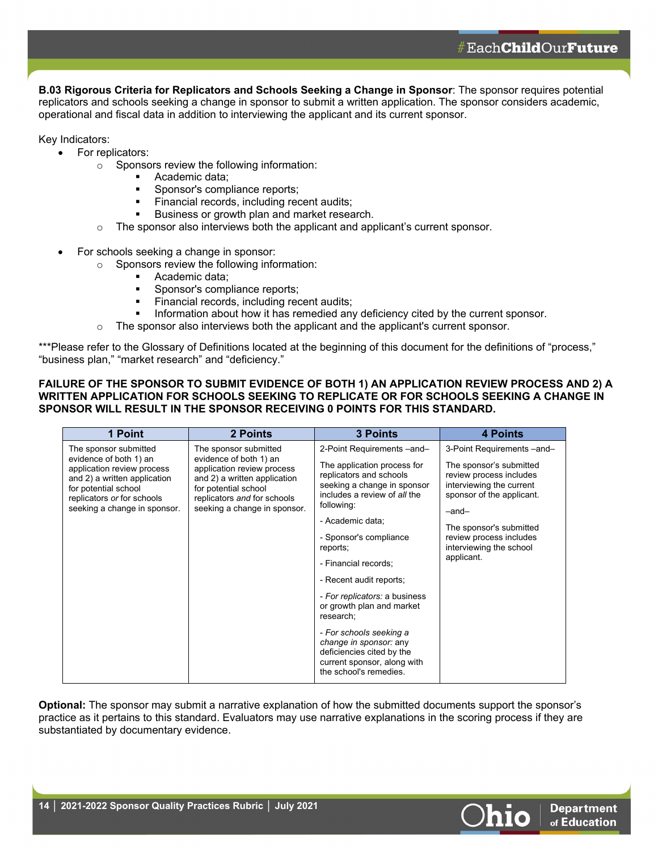**Department** of Education

**B.03 Rigorous Criteria for Replicators and Schools Seeking a Change in Sponsor**: The sponsor requires potential replicators and schools seeking a change in sponsor to submit a written application. The sponsor considers academic, operational and fiscal data in addition to interviewing the applicant and its current sponsor.

Key Indicators:

- For replicators:
	- o Sponsors review the following information:
		- Academic data;
		- Sponsor's compliance reports;<br>Financial records, including rec
		- Financial records, including recent audits;
		- **Business or growth plan and market research.**
	- $\circ$  The sponsor also interviews both the applicant and applicant's current sponsor.
- For schools seeking a change in sponsor:
	- o Sponsors review the following information:
		- Academic data;
		- **Sponsor's compliance reports;**
		- **Financial records, including recent audits;**
		- Information about how it has remedied any deficiency cited by the current sponsor.
	- $\circ$  The sponsor also interviews both the applicant and the applicant's current sponsor.

\*\*\*Please refer to the Glossary of Definitions located at the beginning of this document for the definitions of "process," "business plan," "market research" and "deficiency."

#### **FAILURE OF THE SPONSOR TO SUBMIT EVIDENCE OF BOTH 1) AN APPLICATION REVIEW PROCESS AND 2) A WRITTEN APPLICATION FOR SCHOOLS SEEKING TO REPLICATE OR FOR SCHOOLS SEEKING A CHANGE IN SPONSOR WILL RESULT IN THE SPONSOR RECEIVING 0 POINTS FOR THIS STANDARD.**

| 1 Point                                                                                                                                                                                             | 2 Points                                                                                                                                                                                             | <b>3 Points</b>                                                                                                                                                                                                                                                                                                                                                                                                                                                                                      | <b>4 Points</b>                                                                                                                                                                                                                                   |
|-----------------------------------------------------------------------------------------------------------------------------------------------------------------------------------------------------|------------------------------------------------------------------------------------------------------------------------------------------------------------------------------------------------------|------------------------------------------------------------------------------------------------------------------------------------------------------------------------------------------------------------------------------------------------------------------------------------------------------------------------------------------------------------------------------------------------------------------------------------------------------------------------------------------------------|---------------------------------------------------------------------------------------------------------------------------------------------------------------------------------------------------------------------------------------------------|
| The sponsor submitted<br>evidence of both 1) an<br>application review process<br>and 2) a written application<br>for potential school<br>replicators or for schools<br>seeking a change in sponsor. | The sponsor submitted<br>evidence of both 1) an<br>application review process<br>and 2) a written application<br>for potential school<br>replicators and for schools<br>seeking a change in sponsor. | 2-Point Requirements -and-<br>The application process for<br>replicators and schools<br>seeking a change in sponsor<br>includes a review of all the<br>following:<br>- Academic data:<br>- Sponsor's compliance<br>reports;<br>- Financial records;<br>- Recent audit reports;<br>- For replicators: a business<br>or growth plan and market<br>research:<br>- For schools seeking a<br>change in sponsor: any<br>deficiencies cited by the<br>current sponsor, along with<br>the school's remedies. | 3-Point Requirements -and-<br>The sponsor's submitted<br>review process includes<br>interviewing the current<br>sponsor of the applicant.<br>-and-<br>The sponsor's submitted<br>review process includes<br>interviewing the school<br>applicant. |

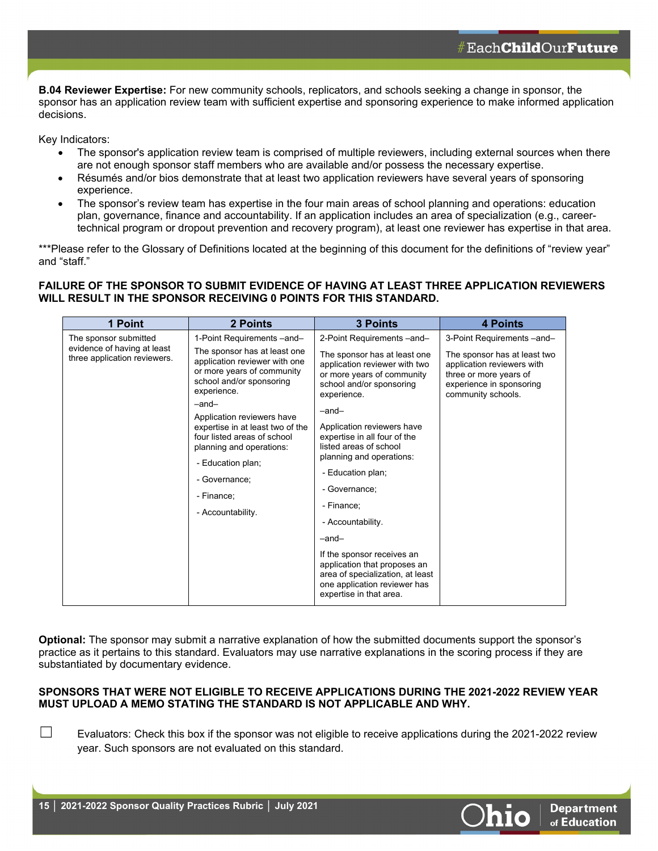**B.04 Reviewer Expertise:** For new community schools, replicators, and schools seeking a change in sponsor, the sponsor has an application review team with sufficient expertise and sponsoring experience to make informed application decisions.

Key Indicators:

- The sponsor's application review team is comprised of multiple reviewers, including external sources when there are not enough sponsor staff members who are available and/or possess the necessary expertise.
- Résumés and/or bios demonstrate that at least two application reviewers have several years of sponsoring experience.
- The sponsor's review team has expertise in the four main areas of school planning and operations: education plan, governance, finance and accountability. If an application includes an area of specialization (e.g., careertechnical program or dropout prevention and recovery program), at least one reviewer has expertise in that area.

\*\*\*Please refer to the Glossary of Definitions located at the beginning of this document for the definitions of "review year" and "staff."

#### **FAILURE OF THE SPONSOR TO SUBMIT EVIDENCE OF HAVING AT LEAST THREE APPLICATION REVIEWERS WILL RESULT IN THE SPONSOR RECEIVING 0 POINTS FOR THIS STANDARD.**

| 1 Point                                                     | 2 Points                                                                                                                                                                                                                                                                                                                                                    | <b>3 Points</b>                                                                                                                                                                                                                                                                                                                                                                                                                                                                                                          | <b>4 Points</b>                                                                                                                        |
|-------------------------------------------------------------|-------------------------------------------------------------------------------------------------------------------------------------------------------------------------------------------------------------------------------------------------------------------------------------------------------------------------------------------------------------|--------------------------------------------------------------------------------------------------------------------------------------------------------------------------------------------------------------------------------------------------------------------------------------------------------------------------------------------------------------------------------------------------------------------------------------------------------------------------------------------------------------------------|----------------------------------------------------------------------------------------------------------------------------------------|
| The sponsor submitted                                       | 1-Point Requirements -and-                                                                                                                                                                                                                                                                                                                                  | 2-Point Requirements -and-                                                                                                                                                                                                                                                                                                                                                                                                                                                                                               | 3-Point Requirements -and-                                                                                                             |
| evidence of having at least<br>three application reviewers. | The sponsor has at least one<br>application reviewer with one<br>or more years of community<br>school and/or sponsoring<br>experience.<br>$-$ and $-$<br>Application reviewers have<br>expertise in at least two of the<br>four listed areas of school<br>planning and operations:<br>- Education plan;<br>- Governance;<br>- Finance;<br>- Accountability. | The sponsor has at least one<br>application reviewer with two<br>or more years of community<br>school and/or sponsoring<br>experience.<br>$-$ and $-$<br>Application reviewers have<br>expertise in all four of the<br>listed areas of school<br>planning and operations:<br>- Education plan;<br>- Governance;<br>- Finance;<br>- Accountability.<br>–and–<br>If the sponsor receives an<br>application that proposes an<br>area of specialization, at least<br>one application reviewer has<br>expertise in that area. | The sponsor has at least two<br>application reviewers with<br>three or more years of<br>experience in sponsoring<br>community schools. |

**Optional:** The sponsor may submit a narrative explanation of how the submitted documents support the sponsor's practice as it pertains to this standard. Evaluators may use narrative explanations in the scoring process if they are substantiated by documentary evidence.

#### **SPONSORS THAT WERE NOT ELIGIBLE TO RECEIVE APPLICATIONS DURING THE 2021-2022 REVIEW YEAR MUST UPLOAD A MEMO STATING THE STANDARD IS NOT APPLICABLE AND WHY.**

 $\Box$  Evaluators: Check this box if the sponsor was not eligible to receive applications during the 2021-2022 review year. Such sponsors are not evaluated on this standard.

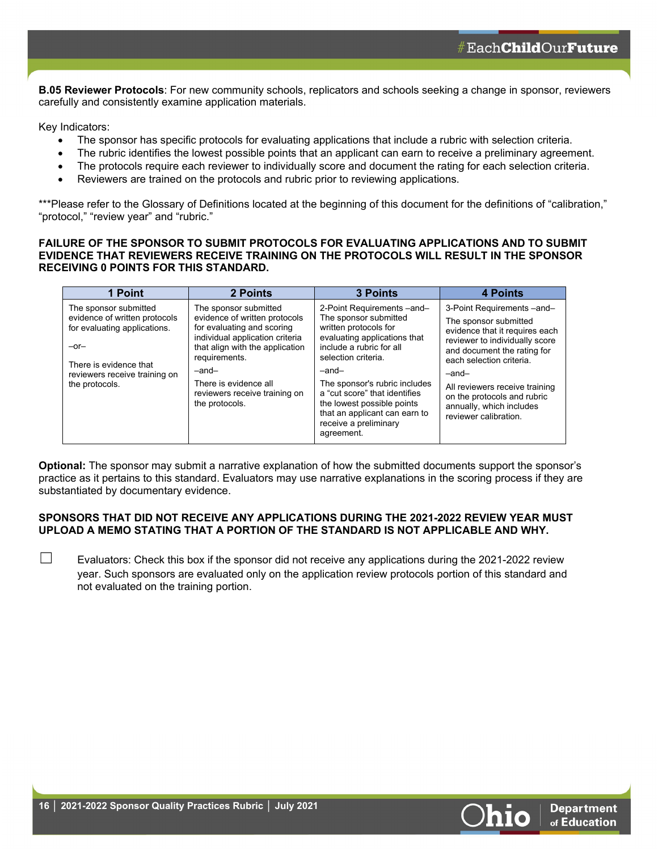**B.05 Reviewer Protocols**: For new community schools, replicators and schools seeking a change in sponsor, reviewers carefully and consistently examine application materials.

Key Indicators:

- The sponsor has specific protocols for evaluating applications that include a rubric with selection criteria.
- The rubric identifies the lowest possible points that an applicant can earn to receive a preliminary agreement.
- The protocols require each reviewer to individually score and document the rating for each selection criteria.
- Reviewers are trained on the protocols and rubric prior to reviewing applications.

\*\*\*Please refer to the Glossary of Definitions located at the beginning of this document for the definitions of "calibration," "protocol," "review year" and "rubric."

#### **FAILURE OF THE SPONSOR TO SUBMIT PROTOCOLS FOR EVALUATING APPLICATIONS AND TO SUBMIT EVIDENCE THAT REVIEWERS RECEIVE TRAINING ON THE PROTOCOLS WILL RESULT IN THE SPONSOR RECEIVING 0 POINTS FOR THIS STANDARD.**

| 1 Point                                                                                                                                                                       | 2 Points                                                                                                                                                                                                                                                         | <b>3 Points</b>                                                                                                                                                                                                                                                                                                                                        | <b>4 Points</b>                                                                                                                                                                                                                                                                                                   |
|-------------------------------------------------------------------------------------------------------------------------------------------------------------------------------|------------------------------------------------------------------------------------------------------------------------------------------------------------------------------------------------------------------------------------------------------------------|--------------------------------------------------------------------------------------------------------------------------------------------------------------------------------------------------------------------------------------------------------------------------------------------------------------------------------------------------------|-------------------------------------------------------------------------------------------------------------------------------------------------------------------------------------------------------------------------------------------------------------------------------------------------------------------|
| The sponsor submitted<br>evidence of written protocols<br>for evaluating applications.<br>$-0r-$<br>There is evidence that<br>reviewers receive training on<br>the protocols. | The sponsor submitted<br>evidence of written protocols<br>for evaluating and scoring<br>individual application criteria<br>that align with the application<br>requirements.<br>-and-<br>There is evidence all<br>reviewers receive training on<br>the protocols. | 2-Point Requirements -and-<br>The sponsor submitted<br>written protocols for<br>evaluating applications that<br>include a rubric for all<br>selection criteria.<br>$-$ and $-$<br>The sponsor's rubric includes<br>a "cut score" that identifies<br>the lowest possible points<br>that an applicant can earn to<br>receive a preliminary<br>agreement. | 3-Point Requirements -and-<br>The sponsor submitted<br>evidence that it requires each<br>reviewer to individually score<br>and document the rating for<br>each selection criteria.<br>-and-<br>All reviewers receive training<br>on the protocols and rubric<br>annually, which includes<br>reviewer calibration. |

**Optional:** The sponsor may submit a narrative explanation of how the submitted documents support the sponsor's practice as it pertains to this standard. Evaluators may use narrative explanations in the scoring process if they are substantiated by documentary evidence.

#### **SPONSORS THAT DID NOT RECEIVE ANY APPLICATIONS DURING THE 2021-2022 REVIEW YEAR MUST UPLOAD A MEMO STATING THAT A PORTION OF THE STANDARD IS NOT APPLICABLE AND WHY.**

 $\Box$  Evaluators: Check this box if the sponsor did not receive any applications during the 2021-2022 review year. Such sponsors are evaluated only on the application review protocols portion of this standard and not evaluated on the training portion.

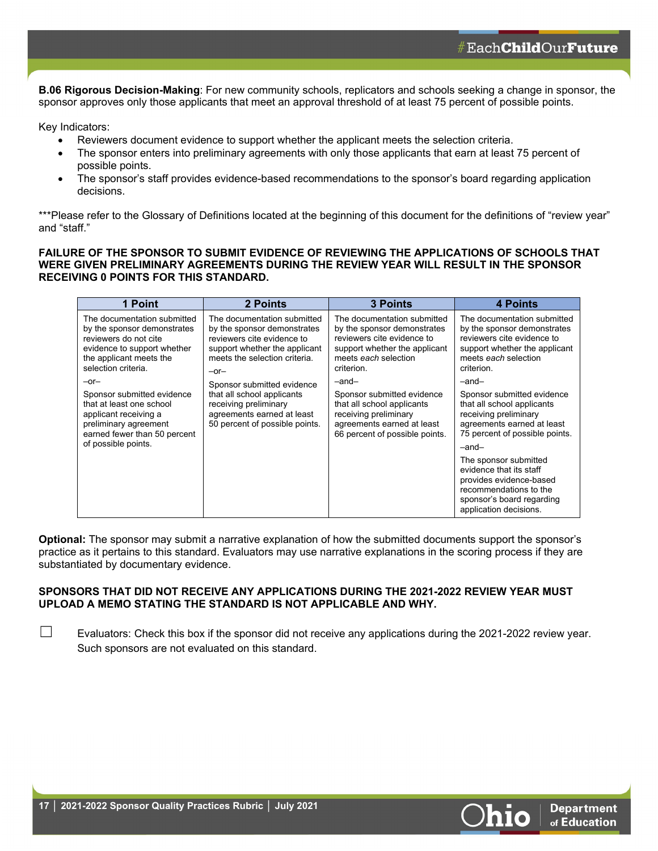**B.06 Rigorous Decision-Making**: For new community schools, replicators and schools seeking a change in sponsor, the sponsor approves only those applicants that meet an approval threshold of at least 75 percent of possible points.

Key Indicators:

- Reviewers document evidence to support whether the applicant meets the selection criteria.
- The sponsor enters into preliminary agreements with only those applicants that earn at least 75 percent of possible points.
- The sponsor's staff provides evidence-based recommendations to the sponsor's board regarding application decisions.

\*\*\*Please refer to the Glossary of Definitions located at the beginning of this document for the definitions of "review year" and "staff."

#### **FAILURE OF THE SPONSOR TO SUBMIT EVIDENCE OF REVIEWING THE APPLICATIONS OF SCHOOLS THAT WERE GIVEN PRELIMINARY AGREEMENTS DURING THE REVIEW YEAR WILL RESULT IN THE SPONSOR RECEIVING 0 POINTS FOR THIS STANDARD.**

| 1 Point                                                                                                                                                                                                                                                                                                                                           | 2 Points                                                                                                                                                                                                                                                                                                                  | <b>3 Points</b>                                                                                                                                                                                                                                                                                                               | 4 Points                                                                                                                                                                                                                                                                                                                                                                                                                                              |
|---------------------------------------------------------------------------------------------------------------------------------------------------------------------------------------------------------------------------------------------------------------------------------------------------------------------------------------------------|---------------------------------------------------------------------------------------------------------------------------------------------------------------------------------------------------------------------------------------------------------------------------------------------------------------------------|-------------------------------------------------------------------------------------------------------------------------------------------------------------------------------------------------------------------------------------------------------------------------------------------------------------------------------|-------------------------------------------------------------------------------------------------------------------------------------------------------------------------------------------------------------------------------------------------------------------------------------------------------------------------------------------------------------------------------------------------------------------------------------------------------|
| The documentation submitted<br>by the sponsor demonstrates<br>reviewers do not cite<br>evidence to support whether<br>the applicant meets the<br>selection criteria.<br>$-0r-$<br>Sponsor submitted evidence<br>that at least one school<br>applicant receiving a<br>preliminary agreement<br>earned fewer than 50 percent<br>of possible points. | The documentation submitted<br>by the sponsor demonstrates<br>reviewers cite evidence to<br>support whether the applicant<br>meets the selection criteria.<br>$-0r-$<br>Sponsor submitted evidence<br>that all school applicants<br>receiving preliminary<br>agreements earned at least<br>50 percent of possible points. | The documentation submitted<br>by the sponsor demonstrates<br>reviewers cite evidence to<br>support whether the applicant<br>meets each selection<br>criterion.<br>–and–<br>Sponsor submitted evidence<br>that all school applicants<br>receiving preliminary<br>agreements earned at least<br>66 percent of possible points. | The documentation submitted<br>by the sponsor demonstrates<br>reviewers cite evidence to<br>support whether the applicant<br>meets each selection<br>criterion.<br>–and–<br>Sponsor submitted evidence<br>that all school applicants<br>receiving preliminary<br>agreements earned at least<br>75 percent of possible points.<br>$-$ and $-$<br>The sponsor submitted<br>evidence that its staff<br>provides evidence-based<br>recommendations to the |
|                                                                                                                                                                                                                                                                                                                                                   |                                                                                                                                                                                                                                                                                                                           |                                                                                                                                                                                                                                                                                                                               | sponsor's board regarding<br>application decisions.                                                                                                                                                                                                                                                                                                                                                                                                   |

**Optional:** The sponsor may submit a narrative explanation of how the submitted documents support the sponsor's practice as it pertains to this standard. Evaluators may use narrative explanations in the scoring process if they are substantiated by documentary evidence.

#### **SPONSORS THAT DID NOT RECEIVE ANY APPLICATIONS DURING THE 2021-2022 REVIEW YEAR MUST UPLOAD A MEMO STATING THE STANDARD IS NOT APPLICABLE AND WHY.**

☐ Evaluators: Check this box if the sponsor did not receive any applications during the 2021-2022 review year. Such sponsors are not evaluated on this standard.

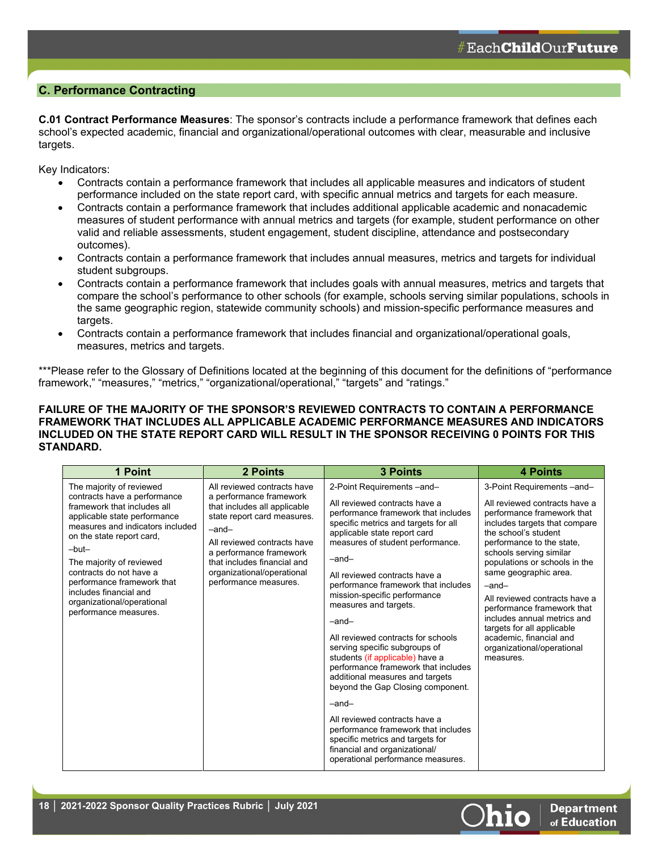### **C. Performance Contracting**

**C.01 Contract Performance Measures**: The sponsor's contracts include a performance framework that defines each school's expected academic, financial and organizational/operational outcomes with clear, measurable and inclusive targets.

Key Indicators:

- Contracts contain a performance framework that includes all applicable measures and indicators of student performance included on the state report card, with specific annual metrics and targets for each measure.
- Contracts contain a performance framework that includes additional applicable academic and nonacademic measures of student performance with annual metrics and targets (for example, student performance on other valid and reliable assessments, student engagement, student discipline, attendance and postsecondary outcomes).
- Contracts contain a performance framework that includes annual measures, metrics and targets for individual student subgroups.
- Contracts contain a performance framework that includes goals with annual measures, metrics and targets that compare the school's performance to other schools (for example, schools serving similar populations, schools in the same geographic region, statewide community schools) and mission-specific performance measures and targets.
- Contracts contain a performance framework that includes financial and organizational/operational goals, measures, metrics and targets.

\*\*\*Please refer to the Glossary of Definitions located at the beginning of this document for the definitions of "performance" framework," "measures," "metrics," "organizational/operational," "targets" and "ratings."

#### **FAILURE OF THE MAJORITY OF THE SPONSOR'S REVIEWED CONTRACTS TO CONTAIN A PERFORMANCE FRAMEWORK THAT INCLUDES ALL APPLICABLE ACADEMIC PERFORMANCE MEASURES AND INDICATORS INCLUDED ON THE STATE REPORT CARD WILL RESULT IN THE SPONSOR RECEIVING 0 POINTS FOR THIS STANDARD.**

| 1 Point                                                                                                                                                                                                                                                                                                                                                                   | 2 Points                                                                                                                                                                                                                                                                             | <b>3 Points</b>                                                                                                                                                                                                                                                                                                                                                                                                                                                                                                                                                                                                                                                                                                                                                                                         | <b>4 Points</b>                                                                                                                                                                                                                                                                                                                                                                                                                                                                       |
|---------------------------------------------------------------------------------------------------------------------------------------------------------------------------------------------------------------------------------------------------------------------------------------------------------------------------------------------------------------------------|--------------------------------------------------------------------------------------------------------------------------------------------------------------------------------------------------------------------------------------------------------------------------------------|---------------------------------------------------------------------------------------------------------------------------------------------------------------------------------------------------------------------------------------------------------------------------------------------------------------------------------------------------------------------------------------------------------------------------------------------------------------------------------------------------------------------------------------------------------------------------------------------------------------------------------------------------------------------------------------------------------------------------------------------------------------------------------------------------------|---------------------------------------------------------------------------------------------------------------------------------------------------------------------------------------------------------------------------------------------------------------------------------------------------------------------------------------------------------------------------------------------------------------------------------------------------------------------------------------|
| The majority of reviewed<br>contracts have a performance<br>framework that includes all<br>applicable state performance<br>measures and indicators included<br>on the state report card,<br>$-but-$<br>The majority of reviewed<br>contracts do not have a<br>performance framework that<br>includes financial and<br>organizational/operational<br>performance measures. | All reviewed contracts have<br>a performance framework<br>that includes all applicable<br>state report card measures.<br>$-$ and $-$<br>All reviewed contracts have<br>a performance framework<br>that includes financial and<br>organizational/operational<br>performance measures. | 2-Point Requirements -and-<br>All reviewed contracts have a<br>performance framework that includes<br>specific metrics and targets for all<br>applicable state report card<br>measures of student performance.<br>$-$ and $-$<br>All reviewed contracts have a<br>performance framework that includes<br>mission-specific performance<br>measures and targets.<br>$-$ and $-$<br>All reviewed contracts for schools<br>serving specific subgroups of<br>students (if applicable) have a<br>performance framework that includes<br>additional measures and targets<br>beyond the Gap Closing component.<br>$-$ and $-$<br>All reviewed contracts have a<br>performance framework that includes<br>specific metrics and targets for<br>financial and organizational/<br>operational performance measures. | 3-Point Requirements -and-<br>All reviewed contracts have a<br>performance framework that<br>includes targets that compare<br>the school's student<br>performance to the state,<br>schools serving similar<br>populations or schools in the<br>same geographic area.<br>$-$ and $-$<br>All reviewed contracts have a<br>performance framework that<br>includes annual metrics and<br>targets for all applicable<br>academic, financial and<br>organizational/operational<br>measures. |

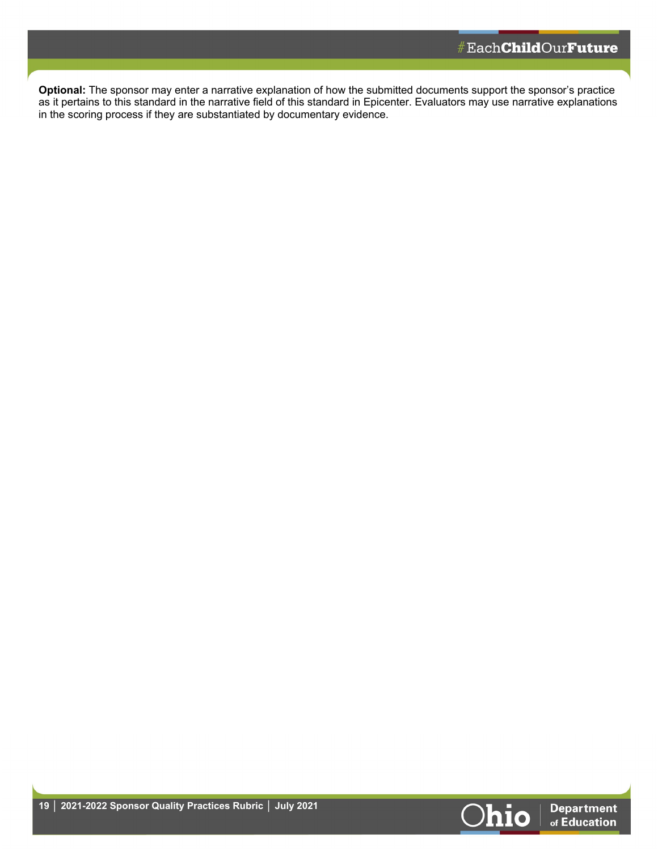**Optional:** The sponsor may enter a narrative explanation of how the submitted documents support the sponsor's practice as it pertains to this standard in the narrative field of this standard in Epicenter. Evaluators may use narrative explanations in the scoring process if they are substantiated by documentary evidence.

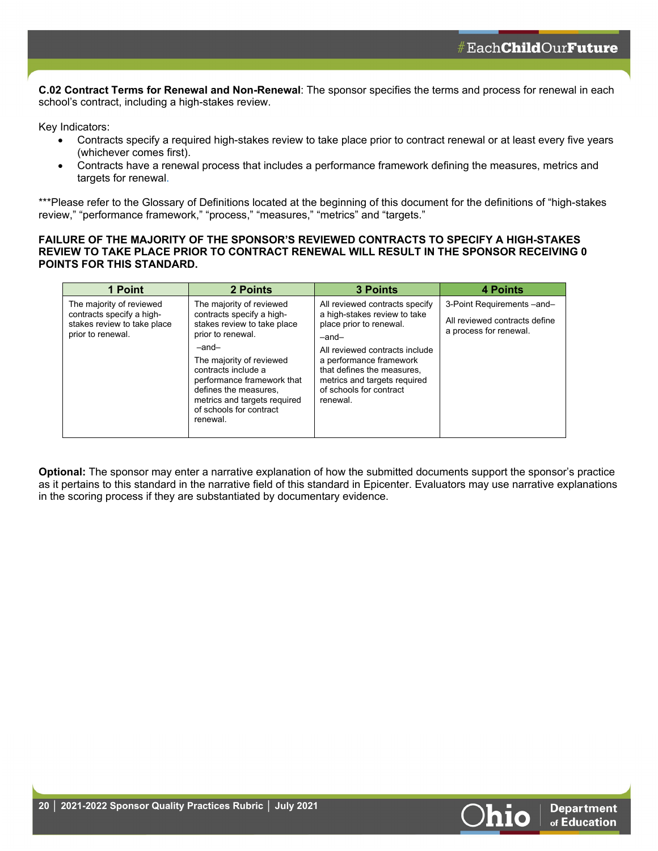**C.02 Contract Terms for Renewal and Non-Renewal**: The sponsor specifies the terms and process for renewal in each school's contract, including a high-stakes review.

Key Indicators:

- Contracts specify a required high-stakes review to take place prior to contract renewal or at least every five years (whichever comes first).
- Contracts have a renewal process that includes a performance framework defining the measures, metrics and targets for renewal.

\*\*\*Please refer to the Glossary of Definitions located at the beginning of this document for the definitions of "high-stakes review," "performance framework," "process," "measures," "metrics" and "targets."

#### **FAILURE OF THE MAJORITY OF THE SPONSOR'S REVIEWED CONTRACTS TO SPECIFY A HIGH-STAKES REVIEW TO TAKE PLACE PRIOR TO CONTRACT RENEWAL WILL RESULT IN THE SPONSOR RECEIVING 0 POINTS FOR THIS STANDARD.**

| 1 Point                                                                                                   | 2 Points                                                                                                                                                                                                                                                                                                  | <b>3 Points</b>                                                                                                                                                                                                                                                      | <b>4 Points</b>                                                                       |
|-----------------------------------------------------------------------------------------------------------|-----------------------------------------------------------------------------------------------------------------------------------------------------------------------------------------------------------------------------------------------------------------------------------------------------------|----------------------------------------------------------------------------------------------------------------------------------------------------------------------------------------------------------------------------------------------------------------------|---------------------------------------------------------------------------------------|
| The majority of reviewed<br>contracts specify a high-<br>stakes review to take place<br>prior to renewal. | The majority of reviewed<br>contracts specify a high-<br>stakes review to take place<br>prior to renewal.<br>$-$ and $-$<br>The majority of reviewed<br>contracts include a<br>performance framework that<br>defines the measures,<br>metrics and targets required<br>of schools for contract<br>renewal. | All reviewed contracts specify<br>a high-stakes review to take<br>place prior to renewal.<br>-and-<br>All reviewed contracts include<br>a performance framework<br>that defines the measures.<br>metrics and targets required<br>of schools for contract<br>renewal. | 3-Point Requirements -and-<br>All reviewed contracts define<br>a process for renewal. |

**Optional:** The sponsor may enter a narrative explanation of how the submitted documents support the sponsor's practice as it pertains to this standard in the narrative field of this standard in Epicenter. Evaluators may use narrative explanations in the scoring process if they are substantiated by documentary evidence.

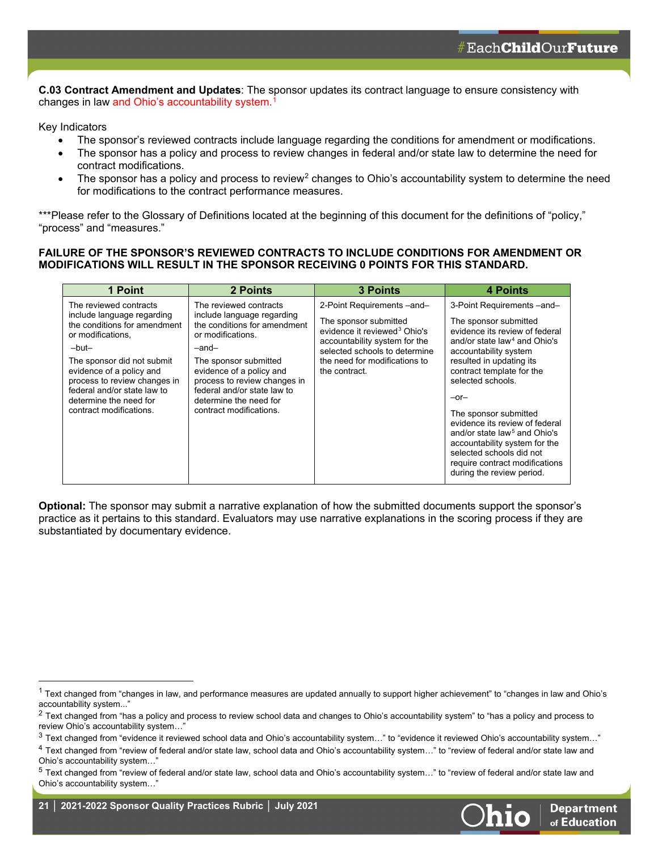**C.03 Contract Amendment and Updates**: The sponsor updates its contract language to ensure consistency with changes in law and Ohio's accountability system. [1](#page-20-0)

Key Indicators

- The sponsor's reviewed contracts include language regarding the conditions for amendment or modifications.
- The sponsor has a policy and process to review changes in federal and/or state law to determine the need for contract modifications.
- The sponsor has a policy and process to review<sup>[2](#page-20-1)</sup> changes to Ohio's accountability system to determine the need for modifications to the contract performance measures.

\*\*\*Please refer to the Glossary of Definitions located at the beginning of this document for the definitions of "policy," "process" and "measures."

#### **FAILURE OF THE SPONSOR'S REVIEWED CONTRACTS TO INCLUDE CONDITIONS FOR AMENDMENT OR MODIFICATIONS WILL RESULT IN THE SPONSOR RECEIVING 0 POINTS FOR THIS STANDARD.**

| 1 Point                                                                                                                                                                                                                                                                                            | 2 Points                                                                                                                                                                                                                                                                                    | <b>3 Points</b>                                                                                                                                                                                                     | 4 Points                                                                                                                                                                                                                                                                                                                                                                                                                                                                              |
|----------------------------------------------------------------------------------------------------------------------------------------------------------------------------------------------------------------------------------------------------------------------------------------------------|---------------------------------------------------------------------------------------------------------------------------------------------------------------------------------------------------------------------------------------------------------------------------------------------|---------------------------------------------------------------------------------------------------------------------------------------------------------------------------------------------------------------------|---------------------------------------------------------------------------------------------------------------------------------------------------------------------------------------------------------------------------------------------------------------------------------------------------------------------------------------------------------------------------------------------------------------------------------------------------------------------------------------|
| The reviewed contracts<br>include language regarding<br>the conditions for amendment<br>or modifications.<br>$-but-$<br>The sponsor did not submit<br>evidence of a policy and<br>process to review changes in<br>federal and/or state law to<br>determine the need for<br>contract modifications. | The reviewed contracts<br>include language regarding<br>the conditions for amendment<br>or modifications.<br>-and-<br>The sponsor submitted<br>evidence of a policy and<br>process to review changes in<br>federal and/or state law to<br>determine the need for<br>contract modifications. | 2-Point Requirements -and-<br>The sponsor submitted<br>evidence it reviewed <sup>3</sup> Ohio's<br>accountability system for the<br>selected schools to determine<br>the need for modifications to<br>the contract. | 3-Point Requirements -and-<br>The sponsor submitted<br>evidence its review of federal<br>and/or state law <sup>4</sup> and Ohio's<br>accountability system<br>resulted in updating its<br>contract template for the<br>selected schools.<br>$-0r-$<br>The sponsor submitted<br>evidence its review of federal<br>and/or state law <sup>5</sup> and Ohio's<br>accountability system for the<br>selected schools did not<br>require contract modifications<br>during the review period. |



<span id="page-20-0"></span> $^{\text{1}}$  Text changed from "changes in law, and performance measures are updated annually to support higher achievement" to "changes in law and Ohio's accountability system..."

<span id="page-20-1"></span> $2$  Text changed from "has a policy and process to review school data and changes to Ohio's accountability system" to "has a policy and process to review Ohio's accountability system…"

<span id="page-20-2"></span><sup>3</sup> Text changed from "evidence it reviewed school data and Ohio's accountability system…" to "evidence it reviewed Ohio's accountability system…"

<span id="page-20-3"></span><sup>&</sup>lt;sup>4</sup> Text changed from "review of federal and/or state law, school data and Ohio's accountability system..." to "review of federal and/or state law and Ohio's accountability system…"

<span id="page-20-4"></span> $5$  Text changed from "review of federal and/or state law, school data and Ohio's accountability system..." to "review of federal and/or state law and Ohio's accountability system…"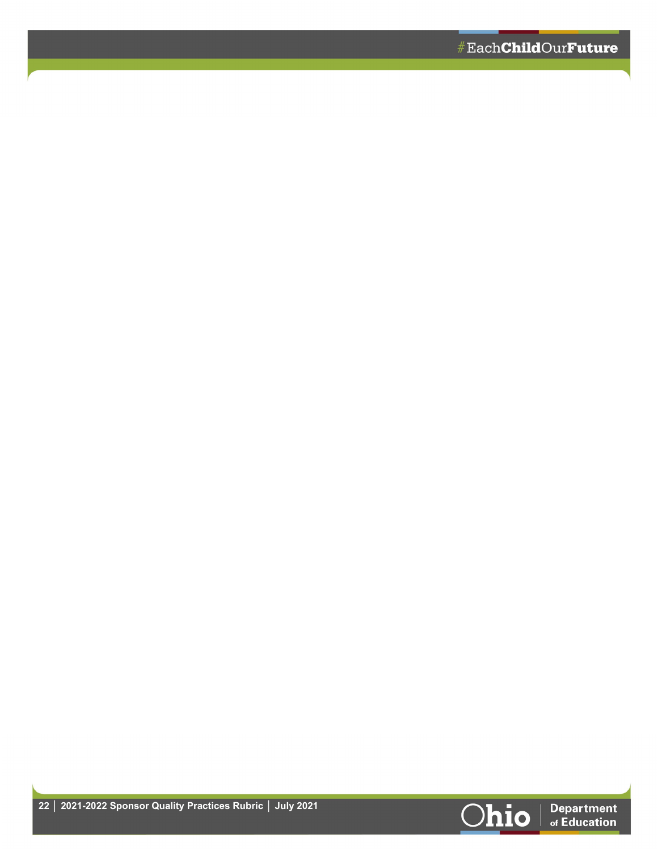

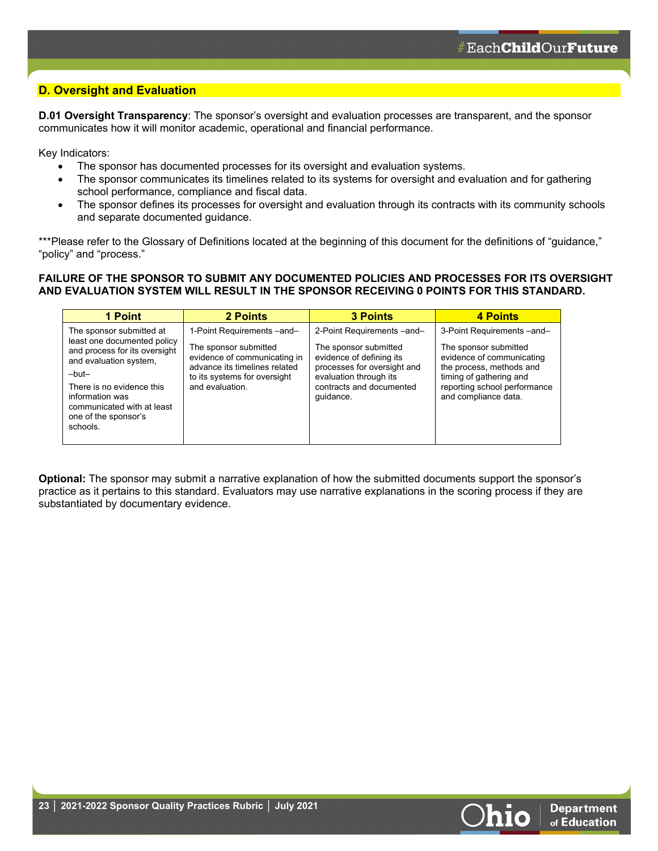# **D. Oversight and Evaluation**

**D.01 Oversight Transparency**: The sponsor's oversight and evaluation processes are transparent, and the sponsor communicates how it will monitor academic, operational and financial performance.

Key Indicators:

- The sponsor has documented processes for its oversight and evaluation systems.
- The sponsor communicates its timelines related to its systems for oversight and evaluation and for gathering school performance, compliance and fiscal data.
- The sponsor defines its processes for oversight and evaluation through its contracts with its community schools and separate documented guidance.

\*\*\*Please refer to the Glossary of Definitions located at the beginning of this document for the definitions of "guidance," "policy" and "process."

#### **FAILURE OF THE SPONSOR TO SUBMIT ANY DOCUMENTED POLICIES AND PROCESSES FOR ITS OVERSIGHT AND EVALUATION SYSTEM WILL RESULT IN THE SPONSOR RECEIVING 0 POINTS FOR THIS STANDARD.**

| 1 Point                                                                                                                                                                                                                                         | 2 Points                                                                                                                                                                | <b>3 Points</b>                                                                                                                                                                   | <b>4 Points</b>                                                                                                                                                                                 |
|-------------------------------------------------------------------------------------------------------------------------------------------------------------------------------------------------------------------------------------------------|-------------------------------------------------------------------------------------------------------------------------------------------------------------------------|-----------------------------------------------------------------------------------------------------------------------------------------------------------------------------------|-------------------------------------------------------------------------------------------------------------------------------------------------------------------------------------------------|
| The sponsor submitted at<br>least one documented policy<br>and process for its oversight<br>and evaluation system,<br>$-but-$<br>There is no evidence this<br>information was<br>communicated with at least<br>one of the sponsor's<br>schools. | 1-Point Requirements -and-<br>The sponsor submitted<br>evidence of communicating in<br>advance its timelines related<br>to its systems for oversight<br>and evaluation. | 2-Point Requirements -and-<br>The sponsor submitted<br>evidence of defining its<br>processes for oversight and<br>evaluation through its<br>contracts and documented<br>quidance. | 3-Point Requirements -and-<br>The sponsor submitted<br>evidence of communicating<br>the process, methods and<br>timing of gathering and<br>reporting school performance<br>and compliance data. |

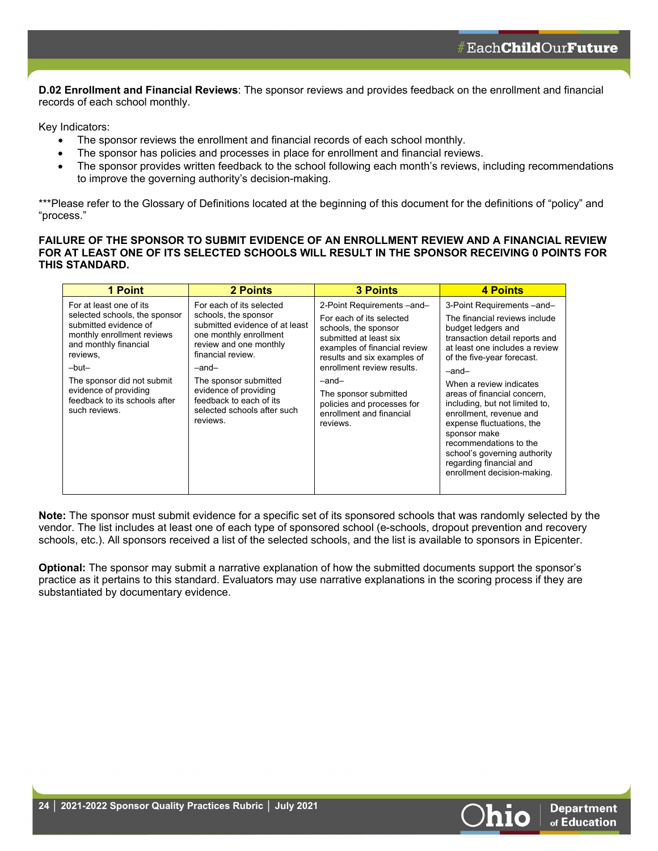**D.02 Enrollment and Financial Reviews**: The sponsor reviews and provides feedback on the enrollment and financial records of each school monthly.

Key Indicators:

- The sponsor reviews the enrollment and financial records of each school monthly.
- The sponsor has policies and processes in place for enrollment and financial reviews.
- The sponsor provides written feedback to the school following each month's reviews, including recommendations to improve the governing authority's decision-making.

\*\*\*Please refer to the Glossary of Definitions located at the beginning of this document for the definitions of "policy" and "process."

#### **FAILURE OF THE SPONSOR TO SUBMIT EVIDENCE OF AN ENROLLMENT REVIEW AND A FINANCIAL REVIEW FOR AT LEAST ONE OF ITS SELECTED SCHOOLS WILL RESULT IN THE SPONSOR RECEIVING 0 POINTS FOR THIS STANDARD.**

| 1 Point                                                                                                                                                                                                                                                                  | <b>2 Points</b>                                                                                                                                                                                                                                                                              | <b>3 Points</b>                                                                                                                                                                                                                                                                                              | <b>4 Points</b>                                                                                                                                                                                                                                                                                                                                                                                                                                                                           |
|--------------------------------------------------------------------------------------------------------------------------------------------------------------------------------------------------------------------------------------------------------------------------|----------------------------------------------------------------------------------------------------------------------------------------------------------------------------------------------------------------------------------------------------------------------------------------------|--------------------------------------------------------------------------------------------------------------------------------------------------------------------------------------------------------------------------------------------------------------------------------------------------------------|-------------------------------------------------------------------------------------------------------------------------------------------------------------------------------------------------------------------------------------------------------------------------------------------------------------------------------------------------------------------------------------------------------------------------------------------------------------------------------------------|
| For at least one of its<br>selected schools, the sponsor<br>submitted evidence of<br>monthly enrollment reviews<br>and monthly financial<br>reviews.<br>$-but-$<br>The sponsor did not submit<br>evidence of providing<br>feedback to its schools after<br>such reviews. | For each of its selected<br>schools, the sponsor<br>submitted evidence of at least<br>one monthly enrollment<br>review and one monthly<br>financial review.<br>-and-<br>The sponsor submitted<br>evidence of providing<br>feedback to each of its<br>selected schools after such<br>reviews. | 2-Point Requirements-and-<br>For each of its selected<br>schools, the sponsor<br>submitted at least six<br>examples of financial review<br>results and six examples of<br>enrollment review results.<br>–and–<br>The sponsor submitted<br>policies and processes for<br>enrollment and financial<br>reviews. | 3-Point Requirements-and-<br>The financial reviews include<br>budget ledgers and<br>transaction detail reports and<br>at least one includes a review<br>of the five-year forecast.<br>$-$ and $-$<br>When a review indicates<br>areas of financial concern,<br>including, but not limited to,<br>enrollment, revenue and<br>expense fluctuations, the<br>sponsor make<br>recommendations to the<br>school's governing authority<br>regarding financial and<br>enrollment decision-making. |

**Note:** The sponsor must submit evidence for a specific set of its sponsored schools that was randomly selected by the vendor. The list includes at least one of each type of sponsored school (e-schools, dropout prevention and recovery schools, etc.). All sponsors received a list of the selected schools, and the list is available to sponsors in Epicenter.

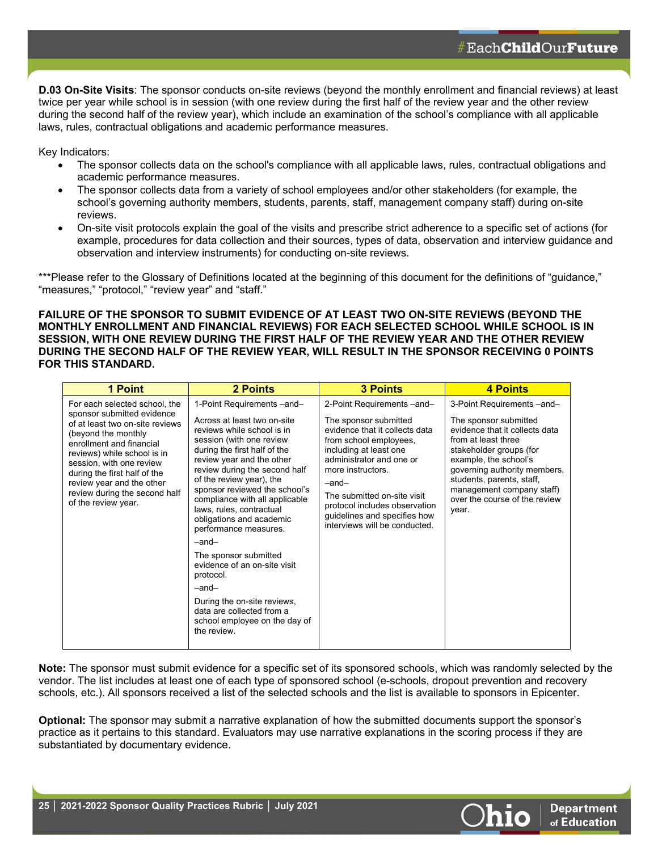**Department** of Education

**D.03 On-Site Visits**: The sponsor conducts on-site reviews (beyond the monthly enrollment and financial reviews) at least twice per year while school is in session (with one review during the first half of the review year and the other review during the second half of the review year), which include an examination of the school's compliance with all applicable laws, rules, contractual obligations and academic performance measures.

Key Indicators:

- The sponsor collects data on the school's compliance with all applicable laws, rules, contractual obligations and academic performance measures.
- The sponsor collects data from a variety of school employees and/or other stakeholders (for example, the school's governing authority members, students, parents, staff, management company staff) during on-site reviews.
- On-site visit protocols explain the goal of the visits and prescribe strict adherence to a specific set of actions (for example, procedures for data collection and their sources, types of data, observation and interview guidance and observation and interview instruments) for conducting on-site reviews.

\*\*\*Please refer to the Glossary of Definitions located at the beginning of this document for the definitions of "guidance," "measures," "protocol," "review year" and "staff."

**FAILURE OF THE SPONSOR TO SUBMIT EVIDENCE OF AT LEAST TWO ON-SITE REVIEWS (BEYOND THE MONTHLY ENROLLMENT AND FINANCIAL REVIEWS) FOR EACH SELECTED SCHOOL WHILE SCHOOL IS IN SESSION, WITH ONE REVIEW DURING THE FIRST HALF OF THE REVIEW YEAR AND THE OTHER REVIEW DURING THE SECOND HALF OF THE REVIEW YEAR, WILL RESULT IN THE SPONSOR RECEIVING 0 POINTS FOR THIS STANDARD.**

| 2 Points<br>1 Point                                                                                                                                                                                                                                                                                                                                                                                                                                                                                                                                                                                                                                                                                                                                                                                                                                                                                                                        | <b>3 Points</b>                                                                                                                                                                                                                                                                                                                            | <b>4 Points</b>                                                                                                                                                                                                                                                                                      |
|--------------------------------------------------------------------------------------------------------------------------------------------------------------------------------------------------------------------------------------------------------------------------------------------------------------------------------------------------------------------------------------------------------------------------------------------------------------------------------------------------------------------------------------------------------------------------------------------------------------------------------------------------------------------------------------------------------------------------------------------------------------------------------------------------------------------------------------------------------------------------------------------------------------------------------------------|--------------------------------------------------------------------------------------------------------------------------------------------------------------------------------------------------------------------------------------------------------------------------------------------------------------------------------------------|------------------------------------------------------------------------------------------------------------------------------------------------------------------------------------------------------------------------------------------------------------------------------------------------------|
| For each selected school, the<br>1-Point Requirements -and-<br>sponsor submitted evidence<br>Across at least two on-site<br>of at least two on-site reviews<br>reviews while school is in<br>(beyond the monthly<br>session (with one review<br>enrollment and financial<br>during the first half of the<br>reviews) while school is in<br>review year and the other<br>session, with one review<br>review during the second half<br>during the first half of the<br>of the review year), the<br>review year and the other<br>sponsor reviewed the school's<br>review during the second half<br>compliance with all applicable<br>of the review year.<br>laws, rules, contractual<br>obligations and academic<br>performance measures.<br>-and-<br>The sponsor submitted<br>evidence of an on-site visit<br>protocol.<br>-and-<br>During the on-site reviews,<br>data are collected from a<br>school employee on the day of<br>the review. | 2-Point Requirements -and-<br>The sponsor submitted<br>evidence that it collects data<br>from school employees,<br>including at least one<br>administrator and one or<br>more instructors.<br>$-$ and $-$<br>The submitted on-site visit<br>protocol includes observation<br>guidelines and specifies how<br>interviews will be conducted. | 3-Point Requirements -and-<br>The sponsor submitted<br>evidence that it collects data<br>from at least three<br>stakeholder groups (for<br>example, the school's<br>governing authority members,<br>students, parents, staff,<br>management company staff)<br>over the course of the review<br>year. |

**Note:** The sponsor must submit evidence for a specific set of its sponsored schools, which was randomly selected by the vendor. The list includes at least one of each type of sponsored school (e-schools, dropout prevention and recovery schools, etc.). All sponsors received a list of the selected schools and the list is available to sponsors in Epicenter.

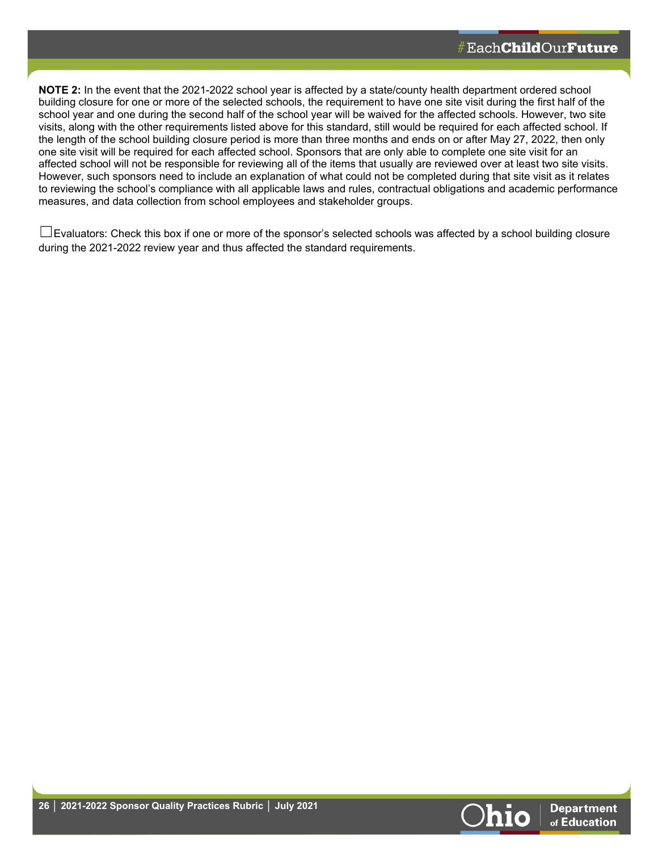**NOTE 2:** In the event that the 2021-2022 school year is affected by a state/county health department ordered school building closure for one or more of the selected schools, the requirement to have one site visit during the first half of the school year and one during the second half of the school year will be waived for the affected schools. However, two site visits, along with the other requirements listed above for this standard, still would be required for each affected school. If the length of the school building closure period is more than three months and ends on or after May 27, 2022, then only one site visit will be required for each affected school. Sponsors that are only able to complete one site visit for an affected school will not be responsible for reviewing all of the items that usually are reviewed over at least two site visits. However, such sponsors need to include an explanation of what could not be completed during that site visit as it relates to reviewing the school's compliance with all applicable laws and rules, contractual obligations and academic performance measures, and data collection from school employees and stakeholder groups.

☐Evaluators: Check this box if one or more of the sponsor's selected schools was affected by a school building closure during the 2021-2022 review year and thus affected the standard requirements.

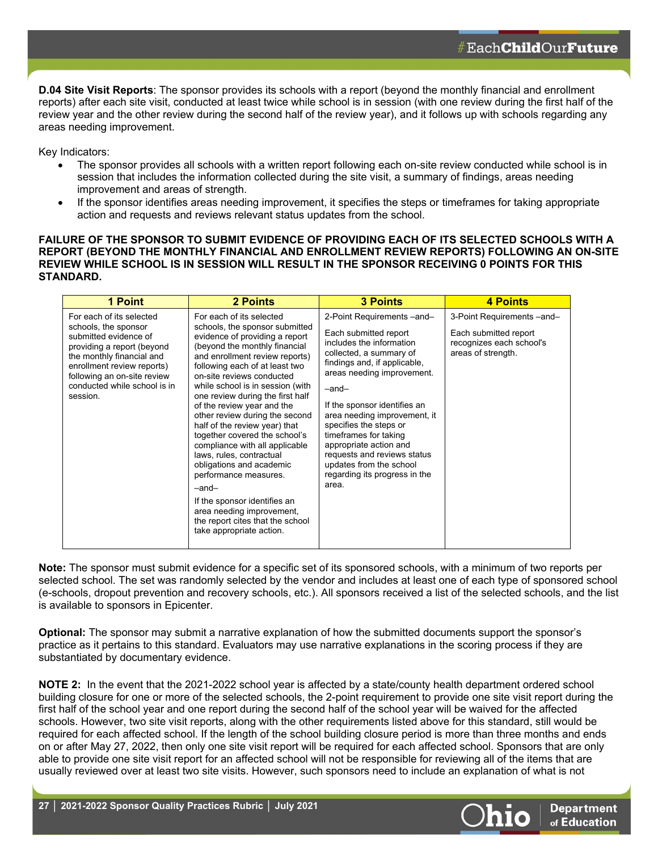**D.04 Site Visit Reports**: The sponsor provides its schools with a report (beyond the monthly financial and enrollment reports) after each site visit, conducted at least twice while school is in session (with one review during the first half of the review year and the other review during the second half of the review year), and it follows up with schools regarding any areas needing improvement.

Key Indicators:

- The sponsor provides all schools with a written report following each on-site review conducted while school is in session that includes the information collected during the site visit, a summary of findings, areas needing improvement and areas of strength.
- If the sponsor identifies areas needing improvement, it specifies the steps or timeframes for taking appropriate action and requests and reviews relevant status updates from the school.

#### **FAILURE OF THE SPONSOR TO SUBMIT EVIDENCE OF PROVIDING EACH OF ITS SELECTED SCHOOLS WITH A REPORT (BEYOND THE MONTHLY FINANCIAL AND ENROLLMENT REVIEW REPORTS) FOLLOWING AN ON-SITE REVIEW WHILE SCHOOL IS IN SESSION WILL RESULT IN THE SPONSOR RECEIVING 0 POINTS FOR THIS STANDARD.**

| <b>1 Point</b>                                                                                                                                                                                                                                | <b>2 Points</b>                                                                                                                                                                                                                                                                                                                                                                                                                                                                                                                                                                                                                                                                                         | <b>3 Points</b>                                                                                                                                                                                                                                                                                                                                                                                                                    | <b>4 Points</b>                                                                                       |
|-----------------------------------------------------------------------------------------------------------------------------------------------------------------------------------------------------------------------------------------------|---------------------------------------------------------------------------------------------------------------------------------------------------------------------------------------------------------------------------------------------------------------------------------------------------------------------------------------------------------------------------------------------------------------------------------------------------------------------------------------------------------------------------------------------------------------------------------------------------------------------------------------------------------------------------------------------------------|------------------------------------------------------------------------------------------------------------------------------------------------------------------------------------------------------------------------------------------------------------------------------------------------------------------------------------------------------------------------------------------------------------------------------------|-------------------------------------------------------------------------------------------------------|
| For each of its selected<br>schools, the sponsor<br>submitted evidence of<br>providing a report (beyond<br>the monthly financial and<br>enrollment review reports)<br>following an on-site review<br>conducted while school is in<br>session. | For each of its selected<br>schools, the sponsor submitted<br>evidence of providing a report<br>(beyond the monthly financial<br>and enrollment review reports)<br>following each of at least two<br>on-site reviews conducted<br>while school is in session (with<br>one review during the first half<br>of the review year and the<br>other review during the second<br>half of the review year) that<br>together covered the school's<br>compliance with all applicable<br>laws, rules, contractual<br>obligations and academic<br>performance measures.<br>$-$ and $-$<br>If the sponsor identifies an<br>area needing improvement,<br>the report cites that the school<br>take appropriate action. | 2-Point Requirements -and-<br>Each submitted report<br>includes the information<br>collected, a summary of<br>findings and, if applicable,<br>areas needing improvement.<br>-and-<br>If the sponsor identifies an<br>area needing improvement, it<br>specifies the steps or<br>timeframes for taking<br>appropriate action and<br>requests and reviews status<br>updates from the school<br>regarding its progress in the<br>area. | 3-Point Requirements -and-<br>Each submitted report<br>recognizes each school's<br>areas of strength. |

**Note:** The sponsor must submit evidence for a specific set of its sponsored schools, with a minimum of two reports per selected school. The set was randomly selected by the vendor and includes at least one of each type of sponsored school (e-schools, dropout prevention and recovery schools, etc.). All sponsors received a list of the selected schools, and the list is available to sponsors in Epicenter.

**Optional:** The sponsor may submit a narrative explanation of how the submitted documents support the sponsor's practice as it pertains to this standard. Evaluators may use narrative explanations in the scoring process if they are substantiated by documentary evidence.

**NOTE 2:** In the event that the 2021-2022 school year is affected by a state/county health department ordered school building closure for one or more of the selected schools, the 2-point requirement to provide one site visit report during the first half of the school year and one report during the second half of the school year will be waived for the affected schools. However, two site visit reports, along with the other requirements listed above for this standard, still would be required for each affected school. If the length of the school building closure period is more than three months and ends on or after May 27, 2022, then only one site visit report will be required for each affected school. Sponsors that are only able to provide one site visit report for an affected school will not be responsible for reviewing all of the items that are usually reviewed over at least two site visits. However, such sponsors need to include an explanation of what is not

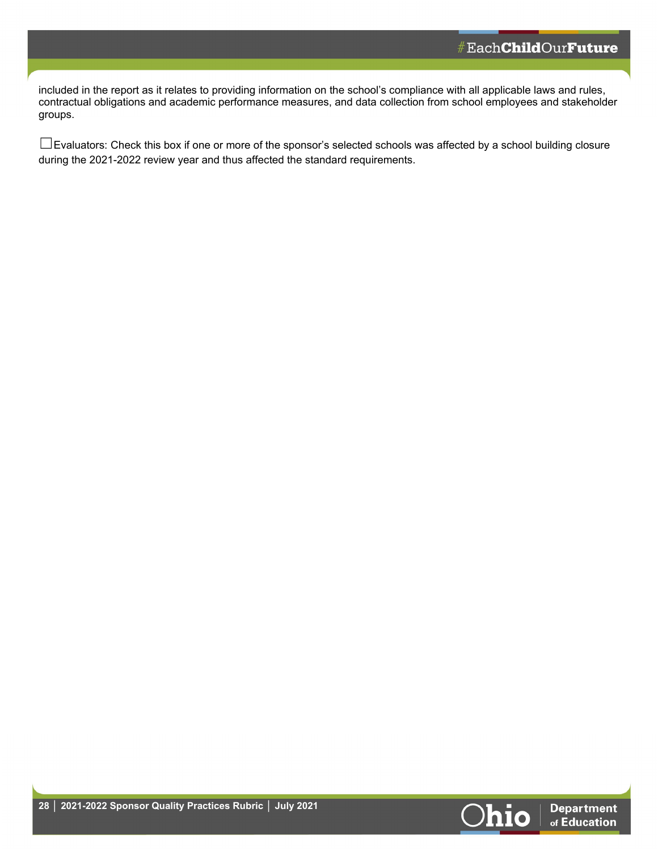included in the report as it relates to providing information on the school's compliance with all applicable laws and rules, contractual obligations and academic performance measures, and data collection from school employees and stakeholder groups.

☐Evaluators: Check this box if one or more of the sponsor's selected schools was affected by a school building closure during the 2021-2022 review year and thus affected the standard requirements.



**Department**<br>of Education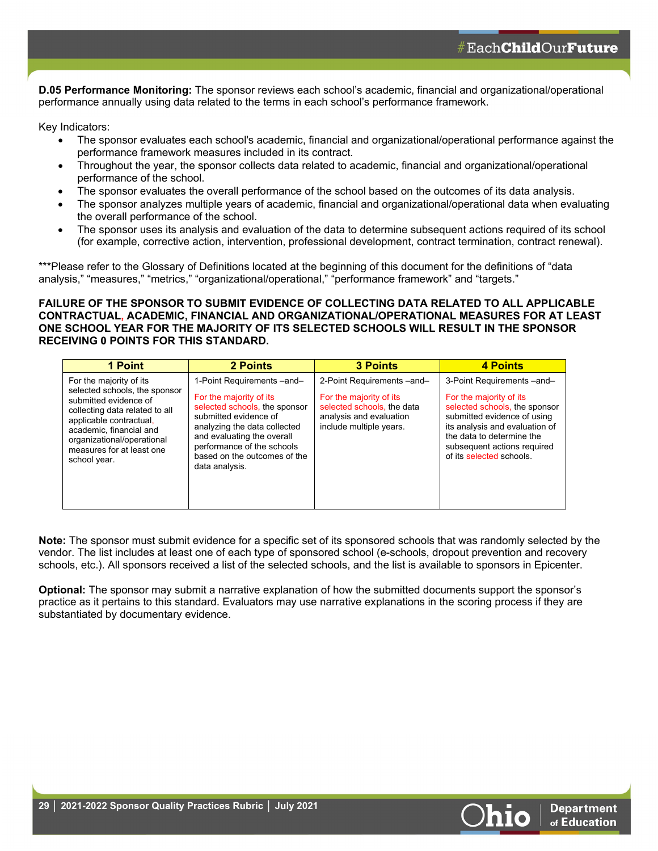**D.05 Performance Monitoring:** The sponsor reviews each school's academic, financial and organizational/operational performance annually using data related to the terms in each school's performance framework.

Key Indicators:

- The sponsor evaluates each school's academic, financial and organizational/operational performance against the performance framework measures included in its contract.
- Throughout the year, the sponsor collects data related to academic, financial and organizational/operational performance of the school.
- The sponsor evaluates the overall performance of the school based on the outcomes of its data analysis.
- The sponsor analyzes multiple years of academic, financial and organizational/operational data when evaluating the overall performance of the school.
- The sponsor uses its analysis and evaluation of the data to determine subsequent actions required of its school (for example, corrective action, intervention, professional development, contract termination, contract renewal).

\*\*\*Please refer to the Glossary of Definitions located at the beginning of this document for the definitions of "data analysis," "measures," "metrics," "organizational/operational," "performance framework" and "targets."

**FAILURE OF THE SPONSOR TO SUBMIT EVIDENCE OF COLLECTING DATA RELATED TO ALL APPLICABLE CONTRACTUAL, ACADEMIC, FINANCIAL AND ORGANIZATIONAL/OPERATIONAL MEASURES FOR AT LEAST ONE SCHOOL YEAR FOR THE MAJORITY OF ITS SELECTED SCHOOLS WILL RESULT IN THE SPONSOR RECEIVING 0 POINTS FOR THIS STANDARD.**

| <b>1 Point</b>                                                                                                                                                                                                                                       | 2 Points                                                                                                                                                                                                                                                      | <b>3 Points</b>                                                                                                                           | <b>4 Points</b>                                                                                                                                                                                                                                 |
|------------------------------------------------------------------------------------------------------------------------------------------------------------------------------------------------------------------------------------------------------|---------------------------------------------------------------------------------------------------------------------------------------------------------------------------------------------------------------------------------------------------------------|-------------------------------------------------------------------------------------------------------------------------------------------|-------------------------------------------------------------------------------------------------------------------------------------------------------------------------------------------------------------------------------------------------|
| For the majority of its<br>selected schools, the sponsor<br>submitted evidence of<br>collecting data related to all<br>applicable contractual,<br>academic, financial and<br>organizational/operational<br>measures for at least one<br>school year. | 1-Point Requirements -and-<br>For the majority of its<br>selected schools, the sponsor<br>submitted evidence of<br>analyzing the data collected<br>and evaluating the overall<br>performance of the schools<br>based on the outcomes of the<br>data analysis. | 2-Point Requirements -and-<br>For the majority of its<br>selected schools, the data<br>analysis and evaluation<br>include multiple years. | 3-Point Requirements -and-<br>For the majority of its<br>selected schools, the sponsor<br>submitted evidence of using<br>its analysis and evaluation of<br>the data to determine the<br>subsequent actions required<br>of its selected schools. |

**Note:** The sponsor must submit evidence for a specific set of its sponsored schools that was randomly selected by the vendor. The list includes at least one of each type of sponsored school (e-schools, dropout prevention and recovery schools, etc.). All sponsors received a list of the selected schools, and the list is available to sponsors in Epicenter.

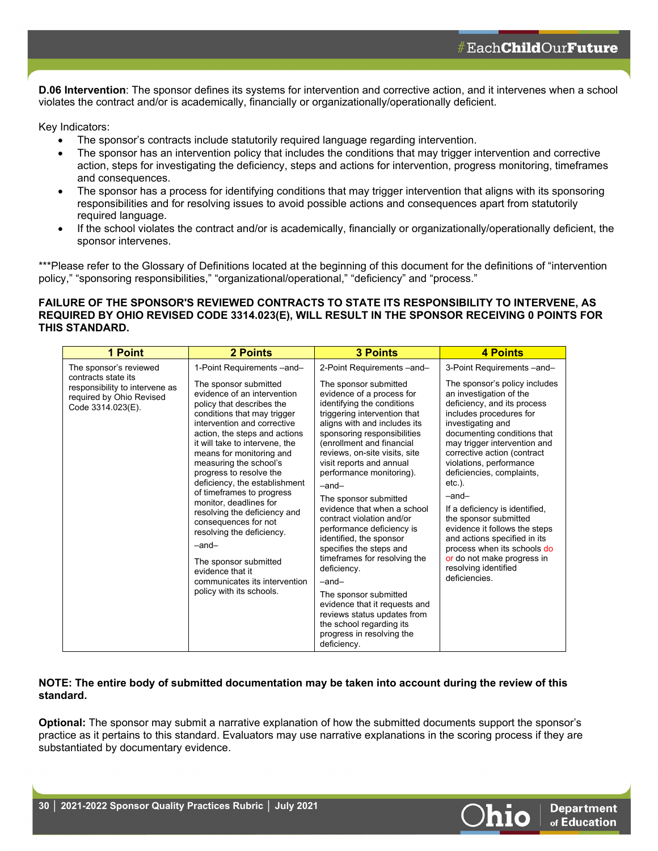**D.06 Intervention**: The sponsor defines its systems for intervention and corrective action, and it intervenes when a school violates the contract and/or is academically, financially or organizationally/operationally deficient.

Key Indicators:

- The sponsor's contracts include statutorily required language regarding intervention.
- The sponsor has an intervention policy that includes the conditions that may trigger intervention and corrective action, steps for investigating the deficiency, steps and actions for intervention, progress monitoring, timeframes and consequences.
- The sponsor has a process for identifying conditions that may trigger intervention that aligns with its sponsoring responsibilities and for resolving issues to avoid possible actions and consequences apart from statutorily required language.
- If the school violates the contract and/or is academically, financially or organizationally/operationally deficient, the sponsor intervenes.

\*\*\*Please refer to the Glossary of Definitions located at the beginning of this document for the definitions of "intervention policy," "sponsoring responsibilities," "organizational/operational," "deficiency" and "process."

#### **FAILURE OF THE SPONSOR'S REVIEWED CONTRACTS TO STATE ITS RESPONSIBILITY TO INTERVENE, AS REQUIRED BY OHIO REVISED CODE 3314.023(E), WILL RESULT IN THE SPONSOR RECEIVING 0 POINTS FOR THIS STANDARD.**

| <b>1 Point</b>                                                                                                                   | <b>2 Points</b>                                                                                                                                                                                                                                                                                                                                                                                                                                                                                                                                                                                                                         | <b>3 Points</b>                                                                                                                                                                                                                                                                                                                                                                                                                                                                                                                                                                                                                                                                                                                                           | <b>4 Points</b>                                                                                                                                                                                                                                                                                                                                                                                                                                                                                                                                                                     |
|----------------------------------------------------------------------------------------------------------------------------------|-----------------------------------------------------------------------------------------------------------------------------------------------------------------------------------------------------------------------------------------------------------------------------------------------------------------------------------------------------------------------------------------------------------------------------------------------------------------------------------------------------------------------------------------------------------------------------------------------------------------------------------------|-----------------------------------------------------------------------------------------------------------------------------------------------------------------------------------------------------------------------------------------------------------------------------------------------------------------------------------------------------------------------------------------------------------------------------------------------------------------------------------------------------------------------------------------------------------------------------------------------------------------------------------------------------------------------------------------------------------------------------------------------------------|-------------------------------------------------------------------------------------------------------------------------------------------------------------------------------------------------------------------------------------------------------------------------------------------------------------------------------------------------------------------------------------------------------------------------------------------------------------------------------------------------------------------------------------------------------------------------------------|
| The sponsor's reviewed<br>contracts state its<br>responsibility to intervene as<br>required by Ohio Revised<br>Code 3314.023(E). | 1-Point Requirements -and-<br>The sponsor submitted<br>evidence of an intervention<br>policy that describes the<br>conditions that may trigger<br>intervention and corrective<br>action, the steps and actions<br>it will take to intervene, the<br>means for monitoring and<br>measuring the school's<br>progress to resolve the<br>deficiency, the establishment<br>of timeframes to progress<br>monitor, deadlines for<br>resolving the deficiency and<br>consequences for not<br>resolving the deficiency.<br>$-$ and $-$<br>The sponsor submitted<br>evidence that it<br>communicates its intervention<br>policy with its schools. | 2-Point Requirements -and-<br>The sponsor submitted<br>evidence of a process for<br>identifying the conditions<br>triggering intervention that<br>aligns with and includes its<br>sponsoring responsibilities<br>(enrollment and financial<br>reviews, on-site visits, site<br>visit reports and annual<br>performance monitoring).<br>$-$ and $-$<br>The sponsor submitted<br>evidence that when a school<br>contract violation and/or<br>performance deficiency is<br>identified, the sponsor<br>specifies the steps and<br>timeframes for resolving the<br>deficiency.<br>$-$ and $-$<br>The sponsor submitted<br>evidence that it requests and<br>reviews status updates from<br>the school regarding its<br>progress in resolving the<br>deficiency. | 3-Point Requirements -and-<br>The sponsor's policy includes<br>an investigation of the<br>deficiency, and its process<br>includes procedures for<br>investigating and<br>documenting conditions that<br>may trigger intervention and<br>corrective action (contract<br>violations, performance<br>deficiencies, complaints,<br>$etc.$ ).<br>-and-<br>If a deficiency is identified,<br>the sponsor submitted<br>evidence it follows the steps<br>and actions specified in its<br>process when its schools do<br>or do not make progress in<br>resolving identified<br>deficiencies. |

#### **NOTE: The entire body of submitted documentation may be taken into account during the review of this standard.**

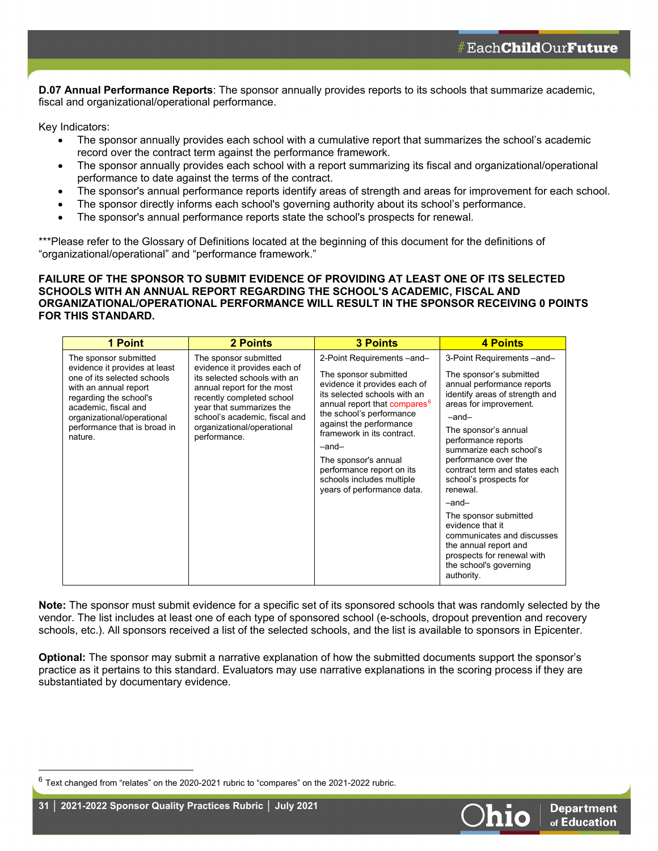**Department** of Education

**D.07 Annual Performance Reports**: The sponsor annually provides reports to its schools that summarize academic, fiscal and organizational/operational performance.

Key Indicators:

- The sponsor annually provides each school with a cumulative report that summarizes the school's academic record over the contract term against the performance framework.
- The sponsor annually provides each school with a report summarizing its fiscal and organizational/operational performance to date against the terms of the contract.
- The sponsor's annual performance reports identify areas of strength and areas for improvement for each school.
- The sponsor directly informs each school's governing authority about its school's performance.
- The sponsor's annual performance reports state the school's prospects for renewal.

\*\*\*Please refer to the Glossary of Definitions located at the beginning of this document for the definitions of "organizational/operational" and "performance framework."

#### **FAILURE OF THE SPONSOR TO SUBMIT EVIDENCE OF PROVIDING AT LEAST ONE OF ITS SELECTED SCHOOLS WITH AN ANNUAL REPORT REGARDING THE SCHOOL'S ACADEMIC, FISCAL AND ORGANIZATIONAL/OPERATIONAL PERFORMANCE WILL RESULT IN THE SPONSOR RECEIVING 0 POINTS FOR THIS STANDARD.**

| 1 Point                                                                                                                                                                                                                                   | 2 Points                                                                                                                                                                                                                                                    | <b>3 Points</b>                                                                                                                                                                                                                                                                                                                                                                     | <b>4 Points</b>                                                                                                                                                                                                                                                                                                                                                                                                                                                                                                            |
|-------------------------------------------------------------------------------------------------------------------------------------------------------------------------------------------------------------------------------------------|-------------------------------------------------------------------------------------------------------------------------------------------------------------------------------------------------------------------------------------------------------------|-------------------------------------------------------------------------------------------------------------------------------------------------------------------------------------------------------------------------------------------------------------------------------------------------------------------------------------------------------------------------------------|----------------------------------------------------------------------------------------------------------------------------------------------------------------------------------------------------------------------------------------------------------------------------------------------------------------------------------------------------------------------------------------------------------------------------------------------------------------------------------------------------------------------------|
| The sponsor submitted<br>evidence it provides at least<br>one of its selected schools<br>with an annual report<br>regarding the school's<br>academic, fiscal and<br>organizational/operational<br>performance that is broad in<br>nature. | The sponsor submitted<br>evidence it provides each of<br>its selected schools with an<br>annual report for the most<br>recently completed school<br>year that summarizes the<br>school's academic, fiscal and<br>organizational/operational<br>performance. | 2-Point Requirements -and-<br>The sponsor submitted<br>evidence it provides each of<br>its selected schools with an<br>annual report that compares <sup>6</sup><br>the school's performance<br>against the performance<br>framework in its contract.<br>$-$ and $-$<br>The sponsor's annual<br>performance report on its<br>schools includes multiple<br>years of performance data. | 3-Point Requirements -and-<br>The sponsor's submitted<br>annual performance reports<br>identify areas of strength and<br>areas for improvement.<br>-and-<br>The sponsor's annual<br>performance reports<br>summarize each school's<br>performance over the<br>contract term and states each<br>school's prospects for<br>renewal.<br>$-$ and $-$<br>The sponsor submitted<br>evidence that it<br>communicates and discusses<br>the annual report and<br>prospects for renewal with<br>the school's governing<br>authority. |

**Note:** The sponsor must submit evidence for a specific set of its sponsored schools that was randomly selected by the vendor. The list includes at least one of each type of sponsored school (e-schools, dropout prevention and recovery schools, etc.). All sponsors received a list of the selected schools, and the list is available to sponsors in Epicenter.

<span id="page-30-0"></span> $6$  Text changed from "relates" on the 2020-2021 rubric to "compares" on the 2021-2022 rubric.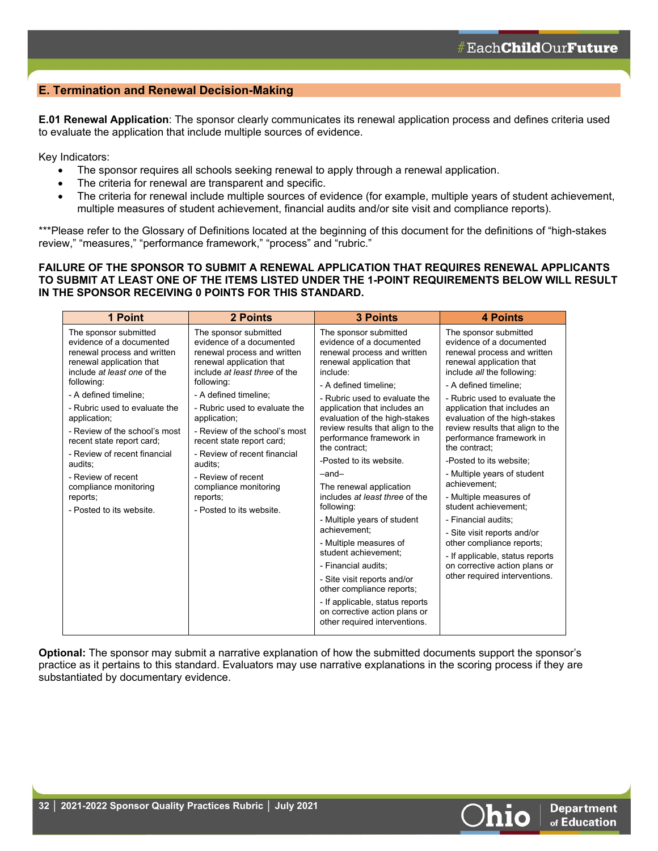**Department** of Education

#### **E. Termination and Renewal Decision-Making**

**E.01 Renewal Application**: The sponsor clearly communicates its renewal application process and defines criteria used to evaluate the application that include multiple sources of evidence.

Key Indicators:

- The sponsor requires all schools seeking renewal to apply through a renewal application.
- The criteria for renewal are transparent and specific.
- The criteria for renewal include multiple sources of evidence (for example, multiple years of student achievement, multiple measures of student achievement, financial audits and/or site visit and compliance reports).

\*\*\*Please refer to the Glossary of Definitions located at the beginning of this document for the definitions of "high-stakes review," "measures," "performance framework," "process" and "rubric."

#### **FAILURE OF THE SPONSOR TO SUBMIT A RENEWAL APPLICATION THAT REQUIRES RENEWAL APPLICANTS TO SUBMIT AT LEAST ONE OF THE ITEMS LISTED UNDER THE 1-POINT REQUIREMENTS BELOW WILL RESULT IN THE SPONSOR RECEIVING 0 POINTS FOR THIS STANDARD.**

| 1 Point                                                                                        | <b>2 Points</b>                                                                                | <b>3 Points</b>                                                                                                                                                                                                                                                                                                                                                                                            | <b>4 Points</b>                                                                                                                                                                                                                                                                                                  |
|------------------------------------------------------------------------------------------------|------------------------------------------------------------------------------------------------|------------------------------------------------------------------------------------------------------------------------------------------------------------------------------------------------------------------------------------------------------------------------------------------------------------------------------------------------------------------------------------------------------------|------------------------------------------------------------------------------------------------------------------------------------------------------------------------------------------------------------------------------------------------------------------------------------------------------------------|
| The sponsor submitted                                                                          | The sponsor submitted                                                                          | The sponsor submitted                                                                                                                                                                                                                                                                                                                                                                                      | The sponsor submitted                                                                                                                                                                                                                                                                                            |
| evidence of a documented                                                                       | evidence of a documented                                                                       | evidence of a documented                                                                                                                                                                                                                                                                                                                                                                                   | evidence of a documented                                                                                                                                                                                                                                                                                         |
| renewal process and written                                                                    | renewal process and written                                                                    | renewal process and written                                                                                                                                                                                                                                                                                                                                                                                | renewal process and written                                                                                                                                                                                                                                                                                      |
| renewal application that                                                                       | renewal application that                                                                       | renewal application that                                                                                                                                                                                                                                                                                                                                                                                   | renewal application that                                                                                                                                                                                                                                                                                         |
| include at least one of the                                                                    | include at least three of the                                                                  | include:                                                                                                                                                                                                                                                                                                                                                                                                   | include all the following:                                                                                                                                                                                                                                                                                       |
| following:                                                                                     | following:                                                                                     | - A defined timeline:                                                                                                                                                                                                                                                                                                                                                                                      | - A defined timeline:                                                                                                                                                                                                                                                                                            |
| - A defined timeline;                                                                          | - A defined timeline;                                                                          | - Rubric used to evaluate the                                                                                                                                                                                                                                                                                                                                                                              | - Rubric used to evaluate the                                                                                                                                                                                                                                                                                    |
| - Rubric used to evaluate the                                                                  | - Rubric used to evaluate the                                                                  | application that includes an                                                                                                                                                                                                                                                                                                                                                                               | application that includes an                                                                                                                                                                                                                                                                                     |
| application;                                                                                   | application;                                                                                   | evaluation of the high-stakes                                                                                                                                                                                                                                                                                                                                                                              | evaluation of the high-stakes                                                                                                                                                                                                                                                                                    |
| - Review of the school's most                                                                  | - Review of the school's most                                                                  | review results that align to the                                                                                                                                                                                                                                                                                                                                                                           | review results that align to the                                                                                                                                                                                                                                                                                 |
| recent state report card;                                                                      | recent state report card;                                                                      | performance framework in                                                                                                                                                                                                                                                                                                                                                                                   | performance framework in                                                                                                                                                                                                                                                                                         |
| - Review of recent financial                                                                   | - Review of recent financial                                                                   | the contract:                                                                                                                                                                                                                                                                                                                                                                                              | the contract:                                                                                                                                                                                                                                                                                                    |
| audits;<br>- Review of recent<br>compliance monitoring<br>reports;<br>- Posted to its website. | audits;<br>- Review of recent<br>compliance monitoring<br>reports;<br>- Posted to its website. | -Posted to its website.<br>$-$ and $-$<br>The renewal application<br>includes at least three of the<br>following:<br>- Multiple years of student<br>achievement:<br>- Multiple measures of<br>student achievement:<br>- Financial audits:<br>- Site visit reports and/or<br>other compliance reports;<br>- If applicable, status reports<br>on corrective action plans or<br>other required interventions. | -Posted to its website;<br>- Multiple years of student<br>achievement:<br>- Multiple measures of<br>student achievement;<br>- Financial audits;<br>- Site visit reports and/or<br>other compliance reports;<br>- If applicable, status reports<br>on corrective action plans or<br>other required interventions. |

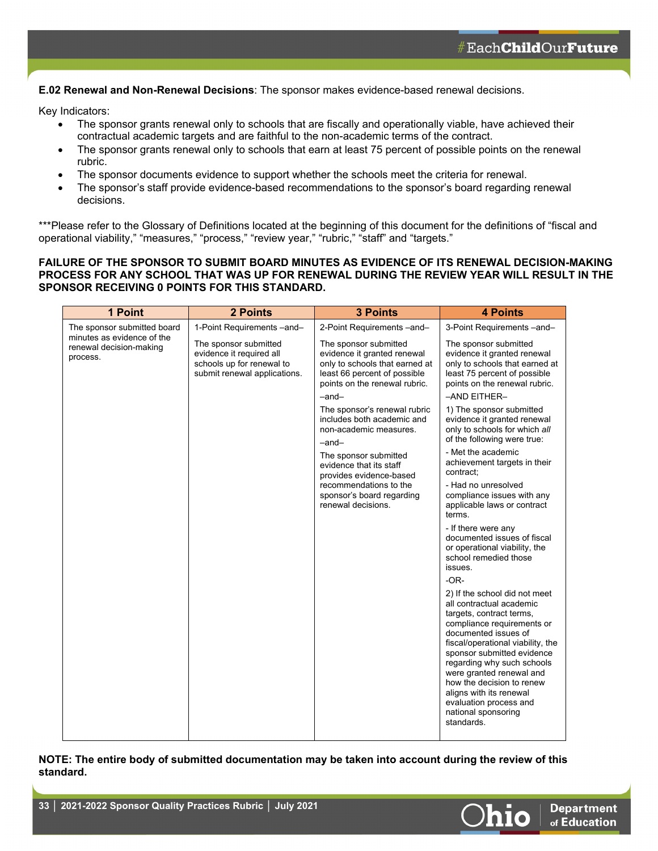**E.02 Renewal and Non-Renewal Decisions**: The sponsor makes evidence-based renewal decisions.

Key Indicators:

- The sponsor grants renewal only to schools that are fiscally and operationally viable, have achieved their contractual academic targets and are faithful to the non-academic terms of the contract.
- The sponsor grants renewal only to schools that earn at least 75 percent of possible points on the renewal rubric.
- The sponsor documents evidence to support whether the schools meet the criteria for renewal.
- The sponsor's staff provide evidence-based recommendations to the sponsor's board regarding renewal decisions.

\*\*\*Please refer to the Glossary of Definitions located at the beginning of this document for the definitions of "fiscal and operational viability," "measures," "process," "review year," "rubric," "staff" and "targets."

#### **FAILURE OF THE SPONSOR TO SUBMIT BOARD MINUTES AS EVIDENCE OF ITS RENEWAL DECISION-MAKING PROCESS FOR ANY SCHOOL THAT WAS UP FOR RENEWAL DURING THE REVIEW YEAR WILL RESULT IN THE SPONSOR RECEIVING 0 POINTS FOR THIS STANDARD.**

| 1 Point                                                                                          | <b>2 Points</b>                                                                                                | <b>3 Points</b>                                                                                                                                         | <b>4 Points</b>                                                                                                                                                                                                                                                                                                                                                                                 |
|--------------------------------------------------------------------------------------------------|----------------------------------------------------------------------------------------------------------------|---------------------------------------------------------------------------------------------------------------------------------------------------------|-------------------------------------------------------------------------------------------------------------------------------------------------------------------------------------------------------------------------------------------------------------------------------------------------------------------------------------------------------------------------------------------------|
| The sponsor submitted board<br>minutes as evidence of the<br>renewal decision-making<br>process. | 1-Point Requirements -and-                                                                                     | 2-Point Requirements -and-                                                                                                                              | 3-Point Requirements -and-                                                                                                                                                                                                                                                                                                                                                                      |
|                                                                                                  | The sponsor submitted<br>evidence it required all<br>schools up for renewal to<br>submit renewal applications. | The sponsor submitted<br>evidence it granted renewal<br>only to schools that earned at<br>least 66 percent of possible<br>points on the renewal rubric. | The sponsor submitted<br>evidence it granted renewal<br>only to schools that earned at<br>least 75 percent of possible<br>points on the renewal rubric.                                                                                                                                                                                                                                         |
|                                                                                                  |                                                                                                                | $-$ and $-$                                                                                                                                             | -AND EITHER-                                                                                                                                                                                                                                                                                                                                                                                    |
|                                                                                                  |                                                                                                                | The sponsor's renewal rubric<br>includes both academic and<br>non-academic measures.<br>$-$ and $-$                                                     | 1) The sponsor submitted<br>evidence it granted renewal<br>only to schools for which all<br>of the following were true:                                                                                                                                                                                                                                                                         |
|                                                                                                  |                                                                                                                | The sponsor submitted<br>evidence that its staff<br>provides evidence-based                                                                             | - Met the academic<br>achievement targets in their<br>contract;                                                                                                                                                                                                                                                                                                                                 |
|                                                                                                  |                                                                                                                | recommendations to the<br>sponsor's board regarding<br>renewal decisions.                                                                               | - Had no unresolved<br>compliance issues with any<br>applicable laws or contract<br>terms.                                                                                                                                                                                                                                                                                                      |
|                                                                                                  |                                                                                                                |                                                                                                                                                         | - If there were any<br>documented issues of fiscal<br>or operational viability, the<br>school remedied those<br>issues.                                                                                                                                                                                                                                                                         |
|                                                                                                  |                                                                                                                |                                                                                                                                                         | $-OR-$                                                                                                                                                                                                                                                                                                                                                                                          |
|                                                                                                  |                                                                                                                |                                                                                                                                                         | 2) If the school did not meet<br>all contractual academic<br>targets, contract terms,<br>compliance requirements or<br>documented issues of<br>fiscal/operational viability, the<br>sponsor submitted evidence<br>regarding why such schools<br>were granted renewal and<br>how the decision to renew<br>aligns with its renewal<br>evaluation process and<br>national sponsoring<br>standards. |

**NOTE: The entire body of submitted documentation may be taken into account during the review of this standard.**

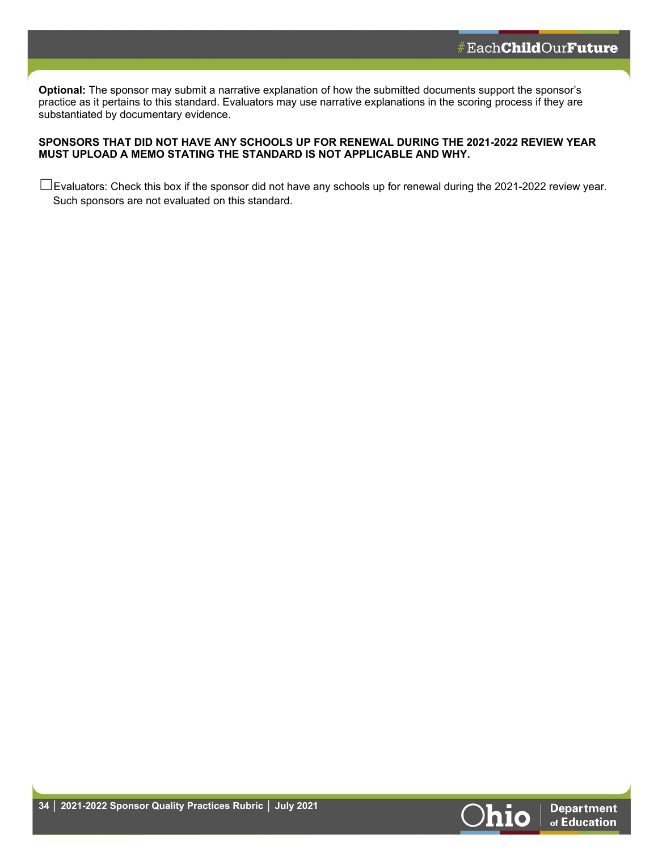**Optional:** The sponsor may submit a narrative explanation of how the submitted documents support the sponsor's practice as it pertains to this standard. Evaluators may use narrative explanations in the scoring process if they are substantiated by documentary evidence.

#### **SPONSORS THAT DID NOT HAVE ANY SCHOOLS UP FOR RENEWAL DURING THE 2021-2022 REVIEW YEAR MUST UPLOAD A MEMO STATING THE STANDARD IS NOT APPLICABLE AND WHY.**

☐Evaluators: Check this box if the sponsor did not have any schools up for renewal during the 2021-2022 review year. Such sponsors are not evaluated on this standard.



**Department**<br>of Education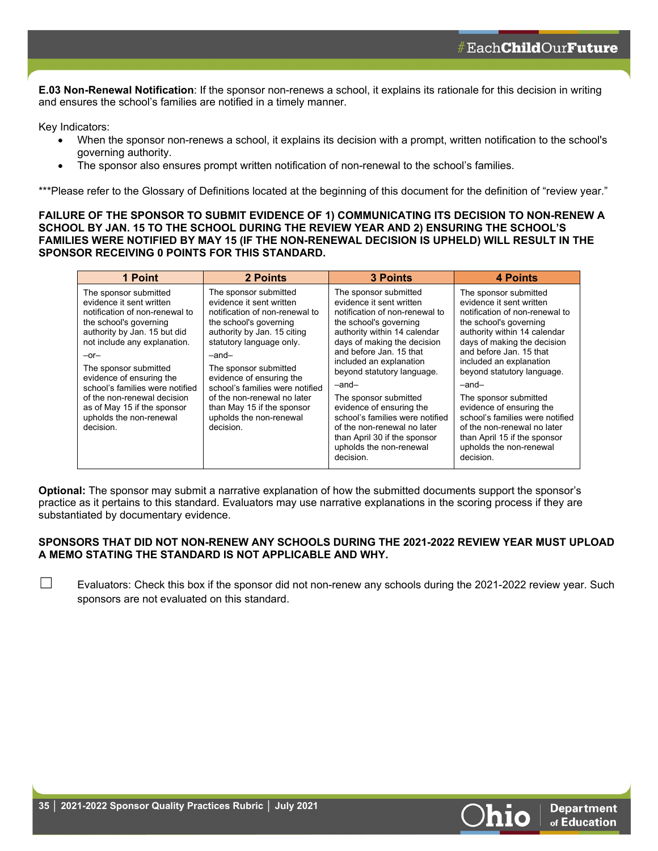**E.03 Non-Renewal Notification**: If the sponsor non-renews a school, it explains its rationale for this decision in writing and ensures the school's families are notified in a timely manner.

Key Indicators:

- When the sponsor non-renews a school, it explains its decision with a prompt, written notification to the school's governing authority.
- The sponsor also ensures prompt written notification of non-renewal to the school's families.

\*\*\*Please refer to the Glossary of Definitions located at the beginning of this document for the definition of "review year."

**FAILURE OF THE SPONSOR TO SUBMIT EVIDENCE OF 1) COMMUNICATING ITS DECISION TO NON-RENEW A SCHOOL BY JAN. 15 TO THE SCHOOL DURING THE REVIEW YEAR AND 2) ENSURING THE SCHOOL'S FAMILIES WERE NOTIFIED BY MAY 15 (IF THE NON-RENEWAL DECISION IS UPHELD) WILL RESULT IN THE SPONSOR RECEIVING 0 POINTS FOR THIS STANDARD.** 

| 1 Point                                                                                                                                                                                                                                                                                                                                                                               | 2 Points                                                                                                                                                                                                                                                                                                                                                                       | <b>3 Points</b>                                                                                                                                                                                                                                                                                                                                                                                                                                                          | 4 Points                                                                                                                                                                                                                                                                                                                                                                                                                                                                       |
|---------------------------------------------------------------------------------------------------------------------------------------------------------------------------------------------------------------------------------------------------------------------------------------------------------------------------------------------------------------------------------------|--------------------------------------------------------------------------------------------------------------------------------------------------------------------------------------------------------------------------------------------------------------------------------------------------------------------------------------------------------------------------------|--------------------------------------------------------------------------------------------------------------------------------------------------------------------------------------------------------------------------------------------------------------------------------------------------------------------------------------------------------------------------------------------------------------------------------------------------------------------------|--------------------------------------------------------------------------------------------------------------------------------------------------------------------------------------------------------------------------------------------------------------------------------------------------------------------------------------------------------------------------------------------------------------------------------------------------------------------------------|
| The sponsor submitted<br>evidence it sent written<br>notification of non-renewal to<br>the school's governing<br>authority by Jan. 15 but did<br>not include any explanation.<br>$-0r-$<br>The sponsor submitted<br>evidence of ensuring the<br>school's families were notified<br>of the non-renewal decision<br>as of May 15 if the sponsor<br>upholds the non-renewal<br>decision. | The sponsor submitted<br>evidence it sent written<br>notification of non-renewal to<br>the school's governing<br>authority by Jan. 15 citing<br>statutory language only.<br>–and–<br>The sponsor submitted<br>evidence of ensuring the<br>school's families were notified<br>of the non-renewal no later<br>than May 15 if the sponsor<br>upholds the non-renewal<br>decision. | The sponsor submitted<br>evidence it sent written<br>notification of non-renewal to<br>the school's governing<br>authority within 14 calendar<br>days of making the decision<br>and before Jan. 15 that<br>included an explanation<br>beyond statutory language.<br>–and–<br>The sponsor submitted<br>evidence of ensuring the<br>school's families were notified<br>of the non-renewal no later<br>than April 30 if the sponsor<br>upholds the non-renewal<br>decision. | The sponsor submitted<br>evidence it sent written<br>notification of non-renewal to<br>the school's governing<br>authority within 14 calendar<br>days of making the decision<br>and before Jan. 15 that<br>included an explanation<br>beyond statutory language.<br>$-$ and $-$<br>The sponsor submitted<br>evidence of ensuring the<br>school's families were notified<br>of the non-renewal no later<br>than April 15 if the sponsor<br>upholds the non-renewal<br>decision. |

**Optional:** The sponsor may submit a narrative explanation of how the submitted documents support the sponsor's practice as it pertains to this standard. Evaluators may use narrative explanations in the scoring process if they are substantiated by documentary evidence.

#### **SPONSORS THAT DID NOT NON-RENEW ANY SCHOOLS DURING THE 2021-2022 REVIEW YEAR MUST UPLOAD A MEMO STATING THE STANDARD IS NOT APPLICABLE AND WHY.**

☐ Evaluators: Check this box if the sponsor did not non-renew any schools during the 2021-2022 review year. Such sponsors are not evaluated on this standard.

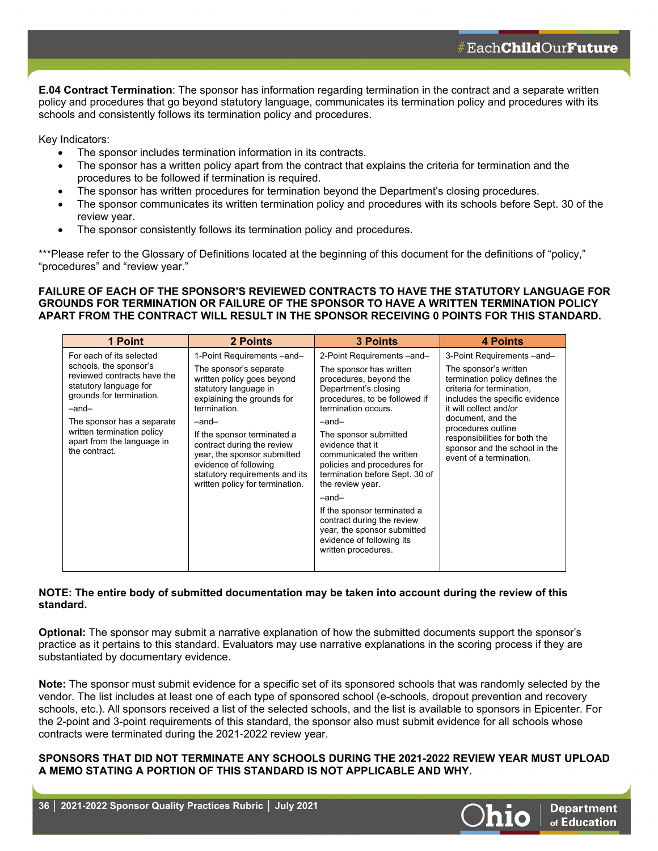**E.04 Contract Termination**: The sponsor has information regarding termination in the contract and a separate written policy and procedures that go beyond statutory language, communicates its termination policy and procedures with its schools and consistently follows its termination policy and procedures.

Key Indicators:

- The sponsor includes termination information in its contracts.
- The sponsor has a written policy apart from the contract that explains the criteria for termination and the procedures to be followed if termination is required.
- The sponsor has written procedures for termination beyond the Department's closing procedures.
- The sponsor communicates its written termination policy and procedures with its schools before Sept. 30 of the review year.
- The sponsor consistently follows its termination policy and procedures.

\*\*\*Please refer to the Glossary of Definitions located at the beginning of this document for the definitions of "policy," "procedures" and "review year."

#### **FAILURE OF EACH OF THE SPONSOR'S REVIEWED CONTRACTS TO HAVE THE STATUTORY LANGUAGE FOR GROUNDS FOR TERMINATION OR FAILURE OF THE SPONSOR TO HAVE A WRITTEN TERMINATION POLICY APART FROM THE CONTRACT WILL RESULT IN THE SPONSOR RECEIVING 0 POINTS FOR THIS STANDARD.**

| 1 Point                                                                                                                                                                                                                                                     | 2 Points                                                                                                                                                                                                                                                                                                                                                     | <b>3 Points</b>                                                                                                                                                                                                                                                                                                                                                                                                                                                                                      | 4 Points                                                                                                                                                                                                                                                                                                               |
|-------------------------------------------------------------------------------------------------------------------------------------------------------------------------------------------------------------------------------------------------------------|--------------------------------------------------------------------------------------------------------------------------------------------------------------------------------------------------------------------------------------------------------------------------------------------------------------------------------------------------------------|------------------------------------------------------------------------------------------------------------------------------------------------------------------------------------------------------------------------------------------------------------------------------------------------------------------------------------------------------------------------------------------------------------------------------------------------------------------------------------------------------|------------------------------------------------------------------------------------------------------------------------------------------------------------------------------------------------------------------------------------------------------------------------------------------------------------------------|
| For each of its selected<br>schools, the sponsor's<br>reviewed contracts have the<br>statutory language for<br>grounds for termination.<br>-and-<br>The sponsor has a separate<br>written termination policy<br>apart from the language in<br>the contract. | 1-Point Requirements -and-<br>The sponsor's separate<br>written policy goes beyond<br>statutory language in<br>explaining the grounds for<br>termination.<br>–and–<br>If the sponsor terminated a<br>contract during the review<br>year, the sponsor submitted<br>evidence of following<br>statutory requirements and its<br>written policy for termination. | 2-Point Requirements-and-<br>The sponsor has written<br>procedures, beyond the<br>Department's closing<br>procedures, to be followed if<br>termination occurs.<br>-and-<br>The sponsor submitted<br>evidence that it<br>communicated the written<br>policies and procedures for<br>termination before Sept. 30 of<br>the review year.<br>$-$ and $-$<br>If the sponsor terminated a<br>contract during the review<br>year, the sponsor submitted<br>evidence of following its<br>written procedures. | 3-Point Requirements -and-<br>The sponsor's written<br>termination policy defines the<br>criteria for termination,<br>includes the specific evidence<br>it will collect and/or<br>document, and the<br>procedures outline<br>responsibilities for both the<br>sponsor and the school in the<br>event of a termination. |

#### **NOTE: The entire body of submitted documentation may be taken into account during the review of this standard.**

**Optional:** The sponsor may submit a narrative explanation of how the submitted documents support the sponsor's practice as it pertains to this standard. Evaluators may use narrative explanations in the scoring process if they are substantiated by documentary evidence.

**Note:** The sponsor must submit evidence for a specific set of its sponsored schools that was randomly selected by the vendor. The list includes at least one of each type of sponsored school (e-schools, dropout prevention and recovery schools, etc.). All sponsors received a list of the selected schools, and the list is available to sponsors in Epicenter. For the 2-point and 3-point requirements of this standard, the sponsor also must submit evidence for all schools whose contracts were terminated during the 2021-2022 review year.

#### **SPONSORS THAT DID NOT TERMINATE ANY SCHOOLS DURING THE 2021-2022 REVIEW YEAR MUST UPLOAD A MEMO STATING A PORTION OF THIS STANDARD IS NOT APPLICABLE AND WHY.**

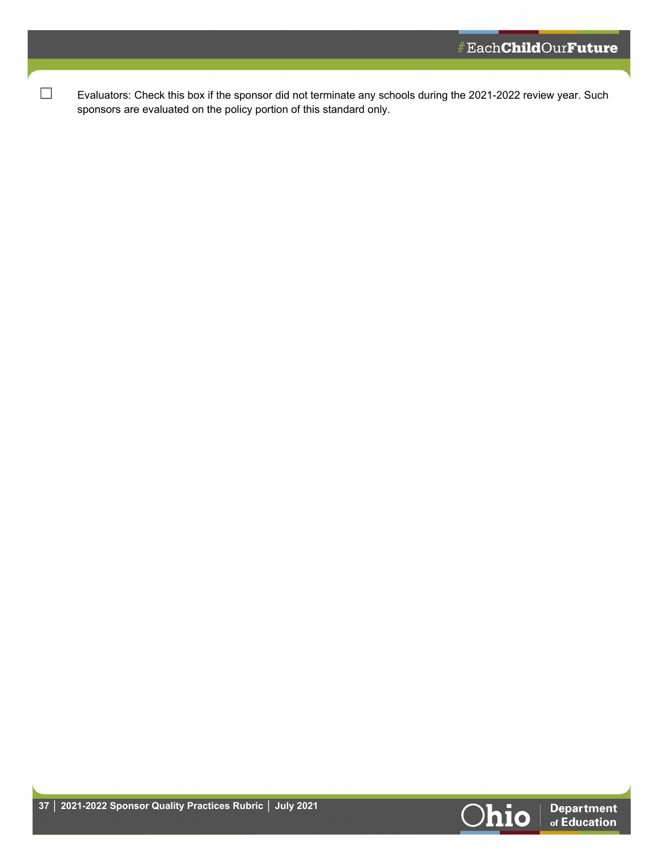☐ Evaluators: Check this box if the sponsor did not terminate any schools during the 2021-2022 review year. Such sponsors are evaluated on the policy portion of this standard only.

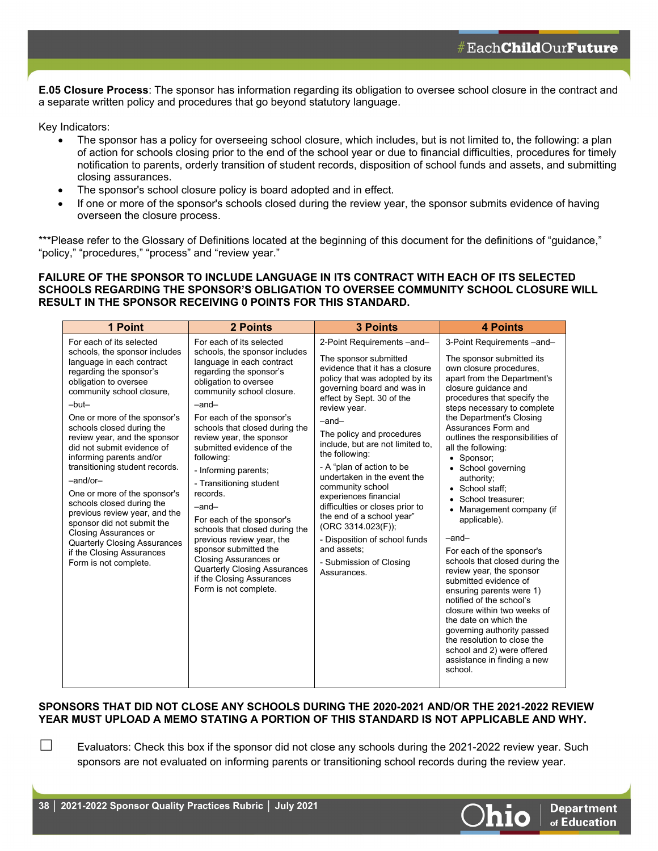**E.05 Closure Process**: The sponsor has information regarding its obligation to oversee school closure in the contract and a separate written policy and procedures that go beyond statutory language.

Key Indicators:

- The sponsor has a policy for overseeing school closure, which includes, but is not limited to, the following: a plan of action for schools closing prior to the end of the school year or due to financial difficulties, procedures for timely notification to parents, orderly transition of student records, disposition of school funds and assets, and submitting closing assurances.
- The sponsor's school closure policy is board adopted and in effect.
- If one or more of the sponsor's schools closed during the review year, the sponsor submits evidence of having overseen the closure process.

\*\*\*Please refer to the Glossary of Definitions located at the beginning of this document for the definitions of "guidance," "policy," "procedures," "process" and "review year."

#### **FAILURE OF THE SPONSOR TO INCLUDE LANGUAGE IN ITS CONTRACT WITH EACH OF ITS SELECTED SCHOOLS REGARDING THE SPONSOR'S OBLIGATION TO OVERSEE COMMUNITY SCHOOL CLOSURE WILL RESULT IN THE SPONSOR RECEIVING 0 POINTS FOR THIS STANDARD.**

| 1 Point                                                                                                                                                                                                                                                                                                                                                                                                                                                                                                                                                                                                                                                | <b>2 Points</b>                                                                                                                                                                                                                                                                                                                                                                                                                                                                                                                                                                                                                                              | <b>3 Points</b>                                                                                                                                                                                                                                                                                                                                                                                                                                                                                                                                                                               | <b>4 Points</b>                                                                                                                                                                                                                                                                                                                                                                                                                                                                                                                                                                                                                                                                                                                                                                                                                          |
|--------------------------------------------------------------------------------------------------------------------------------------------------------------------------------------------------------------------------------------------------------------------------------------------------------------------------------------------------------------------------------------------------------------------------------------------------------------------------------------------------------------------------------------------------------------------------------------------------------------------------------------------------------|--------------------------------------------------------------------------------------------------------------------------------------------------------------------------------------------------------------------------------------------------------------------------------------------------------------------------------------------------------------------------------------------------------------------------------------------------------------------------------------------------------------------------------------------------------------------------------------------------------------------------------------------------------------|-----------------------------------------------------------------------------------------------------------------------------------------------------------------------------------------------------------------------------------------------------------------------------------------------------------------------------------------------------------------------------------------------------------------------------------------------------------------------------------------------------------------------------------------------------------------------------------------------|------------------------------------------------------------------------------------------------------------------------------------------------------------------------------------------------------------------------------------------------------------------------------------------------------------------------------------------------------------------------------------------------------------------------------------------------------------------------------------------------------------------------------------------------------------------------------------------------------------------------------------------------------------------------------------------------------------------------------------------------------------------------------------------------------------------------------------------|
| For each of its selected<br>schools, the sponsor includes<br>language in each contract<br>regarding the sponsor's<br>obligation to oversee<br>community school closure,<br>$-but-$<br>One or more of the sponsor's<br>schools closed during the<br>review year, and the sponsor<br>did not submit evidence of<br>informing parents and/or<br>transitioning student records.<br>$-$ and/or $-$<br>One or more of the sponsor's<br>schools closed during the<br>previous review year, and the<br>sponsor did not submit the<br><b>Closing Assurances or</b><br><b>Quarterly Closing Assurances</b><br>if the Closing Assurances<br>Form is not complete. | For each of its selected<br>schools, the sponsor includes<br>language in each contract<br>regarding the sponsor's<br>obligation to oversee<br>community school closure.<br>$-$ and $-$<br>For each of the sponsor's<br>schools that closed during the<br>review year, the sponsor<br>submitted evidence of the<br>following:<br>- Informing parents;<br>- Transitioning student<br>records.<br>$-$ and $-$<br>For each of the sponsor's<br>schools that closed during the<br>previous review year, the<br>sponsor submitted the<br><b>Closing Assurances or</b><br><b>Quarterly Closing Assurances</b><br>if the Closing Assurances<br>Form is not complete. | 2-Point Requirements -and-<br>The sponsor submitted<br>evidence that it has a closure<br>policy that was adopted by its<br>governing board and was in<br>effect by Sept. 30 of the<br>review year.<br>$-$ and $-$<br>The policy and procedures<br>include, but are not limited to,<br>the following:<br>- A "plan of action to be<br>undertaken in the event the<br>community school<br>experiences financial<br>difficulties or closes prior to<br>the end of a school year"<br>(ORC 3314.023(F));<br>- Disposition of school funds<br>and assets;<br>- Submission of Closing<br>Assurances. | 3-Point Requirements -and-<br>The sponsor submitted its<br>own closure procedures,<br>apart from the Department's<br>closure quidance and<br>procedures that specify the<br>steps necessary to complete<br>the Department's Closing<br>Assurances Form and<br>outlines the responsibilities of<br>all the following:<br>• Sponsor;<br>• School governing<br>authority;<br>School staff;<br>School treasurer;<br>Management company (if<br>applicable).<br>-and-<br>For each of the sponsor's<br>schools that closed during the<br>review year, the sponsor<br>submitted evidence of<br>ensuring parents were 1)<br>notified of the school's<br>closure within two weeks of<br>the date on which the<br>governing authority passed<br>the resolution to close the<br>school and 2) were offered<br>assistance in finding a new<br>school. |

#### **SPONSORS THAT DID NOT CLOSE ANY SCHOOLS DURING THE 2020-2021 AND/OR THE 2021-2022 REVIEW YEAR MUST UPLOAD A MEMO STATING A PORTION OF THIS STANDARD IS NOT APPLICABLE AND WHY.**

 $\Box$  Evaluators: Check this box if the sponsor did not close any schools during the 2021-2022 review year. Such sponsors are not evaluated on informing parents or transitioning school records during the review year.

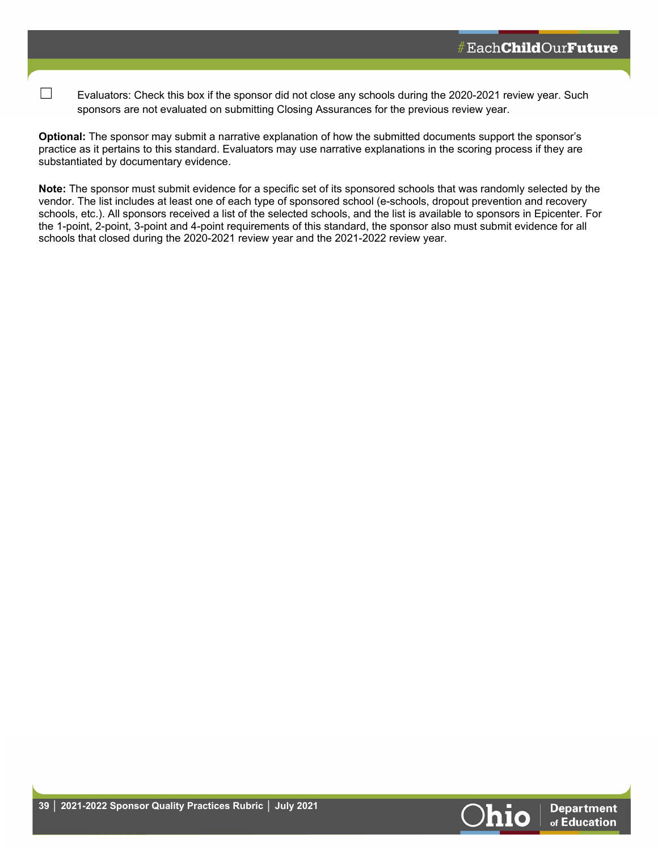**Department** of Education

 $\Box$  Evaluators: Check this box if the sponsor did not close any schools during the 2020-2021 review year. Such sponsors are not evaluated on submitting Closing Assurances for the previous review year.

**Optional:** The sponsor may submit a narrative explanation of how the submitted documents support the sponsor's practice as it pertains to this standard. Evaluators may use narrative explanations in the scoring process if they are substantiated by documentary evidence.

**Note:** The sponsor must submit evidence for a specific set of its sponsored schools that was randomly selected by the vendor. The list includes at least one of each type of sponsored school (e-schools, dropout prevention and recovery schools, etc.). All sponsors received a list of the selected schools, and the list is available to sponsors in Epicenter. For the 1-point, 2-point, 3-point and 4-point requirements of this standard, the sponsor also must submit evidence for all schools that closed during the 2020-2021 review year and the 2021-2022 review year.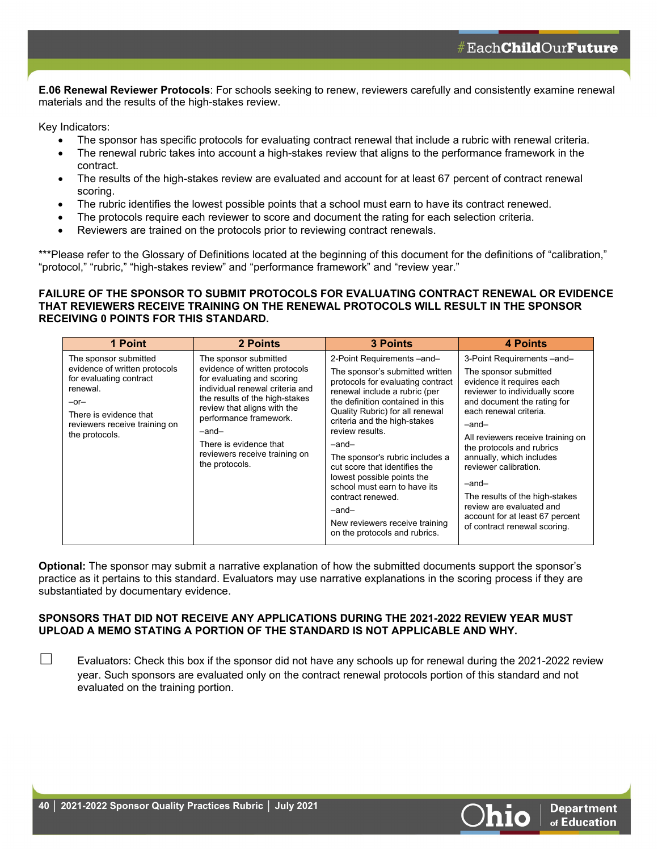**Department** of Education

**E.06 Renewal Reviewer Protocols**: For schools seeking to renew, reviewers carefully and consistently examine renewal materials and the results of the high-stakes review.

Key Indicators:

- The sponsor has specific protocols for evaluating contract renewal that include a rubric with renewal criteria.
- The renewal rubric takes into account a high-stakes review that aligns to the performance framework in the contract.
- The results of the high-stakes review are evaluated and account for at least 67 percent of contract renewal scoring.
- The rubric identifies the lowest possible points that a school must earn to have its contract renewed.
- The protocols require each reviewer to score and document the rating for each selection criteria.
- Reviewers are trained on the protocols prior to reviewing contract renewals.

\*\*\*Please refer to the Glossary of Definitions located at the beginning of this document for the definitions of "calibration," "protocol," "rubric," "high-stakes review" and "performance framework" and "review year."

#### **FAILURE OF THE SPONSOR TO SUBMIT PROTOCOLS FOR EVALUATING CONTRACT RENEWAL OR EVIDENCE THAT REVIEWERS RECEIVE TRAINING ON THE RENEWAL PROTOCOLS WILL RESULT IN THE SPONSOR RECEIVING 0 POINTS FOR THIS STANDARD.**

| 1 Point                                                                                                                                                                              | 2 Points                                                                                                                                                                                                                                                                                                 | <b>3 Points</b>                                                                                                                                                                                                                                                                                                                                                                                                                                                                                                       | <b>4 Points</b>                                                                                                                                                                                                                                                                                                                                                                                                                                                   |
|--------------------------------------------------------------------------------------------------------------------------------------------------------------------------------------|----------------------------------------------------------------------------------------------------------------------------------------------------------------------------------------------------------------------------------------------------------------------------------------------------------|-----------------------------------------------------------------------------------------------------------------------------------------------------------------------------------------------------------------------------------------------------------------------------------------------------------------------------------------------------------------------------------------------------------------------------------------------------------------------------------------------------------------------|-------------------------------------------------------------------------------------------------------------------------------------------------------------------------------------------------------------------------------------------------------------------------------------------------------------------------------------------------------------------------------------------------------------------------------------------------------------------|
| The sponsor submitted<br>evidence of written protocols<br>for evaluating contract<br>renewal.<br>$-0r-$<br>There is evidence that<br>reviewers receive training on<br>the protocols. | The sponsor submitted<br>evidence of written protocols<br>for evaluating and scoring<br>individual renewal criteria and<br>the results of the high-stakes<br>review that aligns with the<br>performance framework.<br>–and–<br>There is evidence that<br>reviewers receive training on<br>the protocols. | 2-Point Requirements -and-<br>The sponsor's submitted written<br>protocols for evaluating contract<br>renewal include a rubric (per<br>the definition contained in this<br>Quality Rubric) for all renewal<br>criteria and the high-stakes<br>review results.<br>$-$ and $-$<br>The sponsor's rubric includes a<br>cut score that identifies the<br>lowest possible points the<br>school must earn to have its<br>contract renewed.<br>$-$ and $-$<br>New reviewers receive training<br>on the protocols and rubrics. | 3-Point Requirements -and-<br>The sponsor submitted<br>evidence it requires each<br>reviewer to individually score<br>and document the rating for<br>each renewal criteria.<br>$-$ and $-$<br>All reviewers receive training on<br>the protocols and rubrics<br>annually, which includes<br>reviewer calibration.<br>$-$ and $-$<br>The results of the high-stakes<br>review are evaluated and<br>account for at least 67 percent<br>of contract renewal scoring. |

**Optional:** The sponsor may submit a narrative explanation of how the submitted documents support the sponsor's practice as it pertains to this standard. Evaluators may use narrative explanations in the scoring process if they are substantiated by documentary evidence.

#### **SPONSORS THAT DID NOT RECEIVE ANY APPLICATIONS DURING THE 2021-2022 REVIEW YEAR MUST UPLOAD A MEMO STATING A PORTION OF THE STANDARD IS NOT APPLICABLE AND WHY.**

☐ Evaluators: Check this box if the sponsor did not have any schools up for renewal during the 2021-2022 review year. Such sponsors are evaluated only on the contract renewal protocols portion of this standard and not evaluated on the training portion.

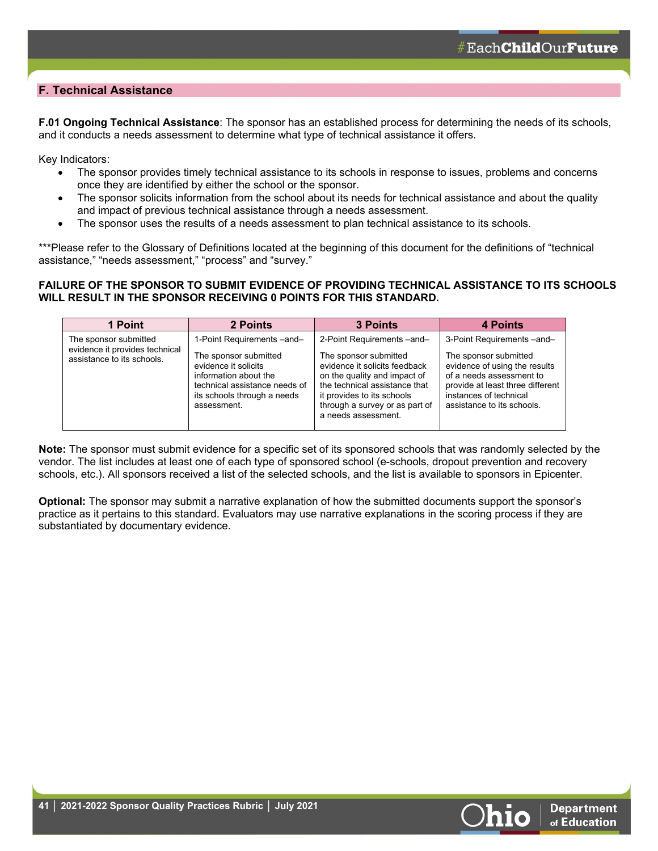# **F. Technical Assistance**

**F.01 Ongoing Technical Assistance**: The sponsor has an established process for determining the needs of its schools, and it conducts a needs assessment to determine what type of technical assistance it offers.

Key Indicators:

- The sponsor provides timely technical assistance to its schools in response to issues, problems and concerns once they are identified by either the school or the sponsor.
- The sponsor solicits information from the school about its needs for technical assistance and about the quality and impact of previous technical assistance through a needs assessment.
- The sponsor uses the results of a needs assessment to plan technical assistance to its schools.

\*\*\*Please refer to the Glossary of Definitions located at the beginning of this document for the definitions of "technical assistance," "needs assessment," "process" and "survey."

#### **FAILURE OF THE SPONSOR TO SUBMIT EVIDENCE OF PROVIDING TECHNICAL ASSISTANCE TO ITS SCHOOLS WILL RESULT IN THE SPONSOR RECEIVING 0 POINTS FOR THIS STANDARD.**

| 1 Point<br>The sponsor submitted<br>evidence it provides technical<br>assistance to its schools. | 2 Points<br>1-Point Requirements -and-<br>The sponsor submitted<br>evidence it solicits<br>information about the<br>technical assistance needs of | <b>3 Points</b><br>2-Point Requirements -and-<br>The sponsor submitted<br>evidence it solicits feedback<br>on the quality and impact of<br>the technical assistance that | 4 Points<br>3-Point Requirements -and-<br>The sponsor submitted<br>evidence of using the results<br>of a needs assessment to<br>provide at least three different |
|--------------------------------------------------------------------------------------------------|---------------------------------------------------------------------------------------------------------------------------------------------------|--------------------------------------------------------------------------------------------------------------------------------------------------------------------------|------------------------------------------------------------------------------------------------------------------------------------------------------------------|
|                                                                                                  | its schools through a needs<br>assessment.                                                                                                        | it provides to its schools<br>through a survey or as part of<br>a needs assessment.                                                                                      | instances of technical<br>assistance to its schools.                                                                                                             |

**Note:** The sponsor must submit evidence for a specific set of its sponsored schools that was randomly selected by the vendor. The list includes at least one of each type of sponsored school (e-schools, dropout prevention and recovery schools, etc.). All sponsors received a list of the selected schools, and the list is available to sponsors in Epicenter.

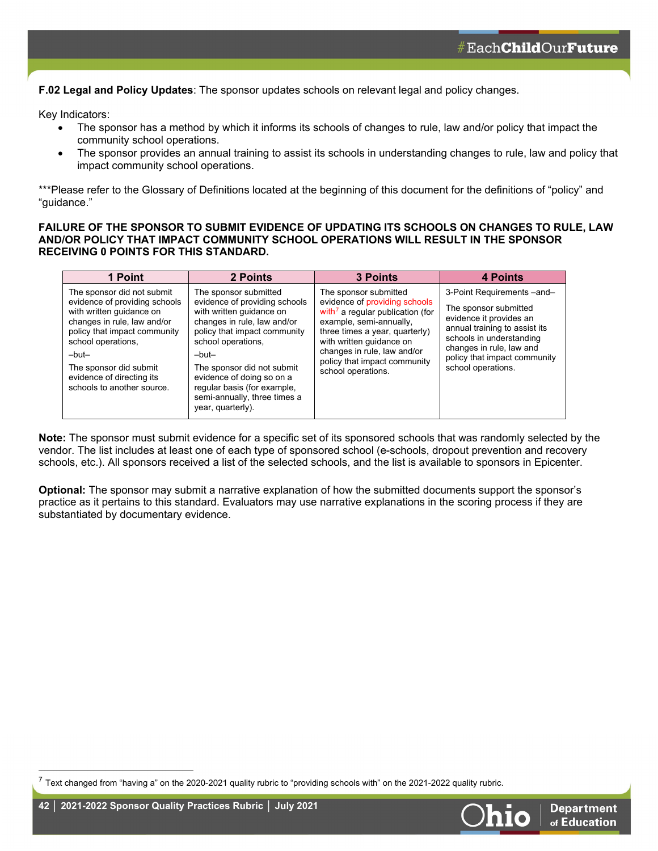**F.02 Legal and Policy Updates**: The sponsor updates schools on relevant legal and policy changes.

Key Indicators:

- The sponsor has a method by which it informs its schools of changes to rule, law and/or policy that impact the community school operations.
- The sponsor provides an annual training to assist its schools in understanding changes to rule, law and policy that impact community school operations.

\*\*\*Please refer to the Glossary of Definitions located at the beginning of this document for the definitions of "policy" and "guidance."

#### **FAILURE OF THE SPONSOR TO SUBMIT EVIDENCE OF UPDATING ITS SCHOOLS ON CHANGES TO RULE, LAW AND/OR POLICY THAT IMPACT COMMUNITY SCHOOL OPERATIONS WILL RESULT IN THE SPONSOR RECEIVING 0 POINTS FOR THIS STANDARD.**

| 1 Point                                                                                                                                                                                                                                                                      | 2 Points                                                                                                                                                                                                                                                                                                                          | <b>3 Points</b>                                                                                                                                                                                                                                                                      | 4 Points                                                                                                                                                                                                                      |
|------------------------------------------------------------------------------------------------------------------------------------------------------------------------------------------------------------------------------------------------------------------------------|-----------------------------------------------------------------------------------------------------------------------------------------------------------------------------------------------------------------------------------------------------------------------------------------------------------------------------------|--------------------------------------------------------------------------------------------------------------------------------------------------------------------------------------------------------------------------------------------------------------------------------------|-------------------------------------------------------------------------------------------------------------------------------------------------------------------------------------------------------------------------------|
| The sponsor did not submit<br>evidence of providing schools<br>with written guidance on<br>changes in rule, law and/or<br>policy that impact community<br>school operations,<br>$-but-$<br>The sponsor did submit<br>evidence of directing its<br>schools to another source. | The sponsor submitted<br>evidence of providing schools<br>with written guidance on<br>changes in rule, law and/or<br>policy that impact community<br>school operations.<br>$-but-$<br>The sponsor did not submit<br>evidence of doing so on a<br>regular basis (for example,<br>semi-annually, three times a<br>year, quarterly). | The sponsor submitted<br>evidence of providing schools<br>with <sup>7</sup> a regular publication (for<br>example, semi-annually,<br>three times a year, quarterly)<br>with written quidance on<br>changes in rule, law and/or<br>policy that impact community<br>school operations. | 3-Point Requirements -and-<br>The sponsor submitted<br>evidence it provides an<br>annual training to assist its<br>schools in understanding<br>changes in rule, law and<br>policy that impact community<br>school operations. |

**Note:** The sponsor must submit evidence for a specific set of its sponsored schools that was randomly selected by the vendor. The list includes at least one of each type of sponsored school (e-schools, dropout prevention and recovery schools, etc.). All sponsors received a list of the selected schools, and the list is available to sponsors in Epicenter.

**Optional:** The sponsor may submit a narrative explanation of how the submitted documents support the sponsor's practice as it pertains to this standard. Evaluators may use narrative explanations in the scoring process if they are substantiated by documentary evidence.



**Department** of Education

<span id="page-41-0"></span> $^7$  Text changed from "having a" on the 2020-2021 quality rubric to "providing schools with" on the 2021-2022 quality rubric.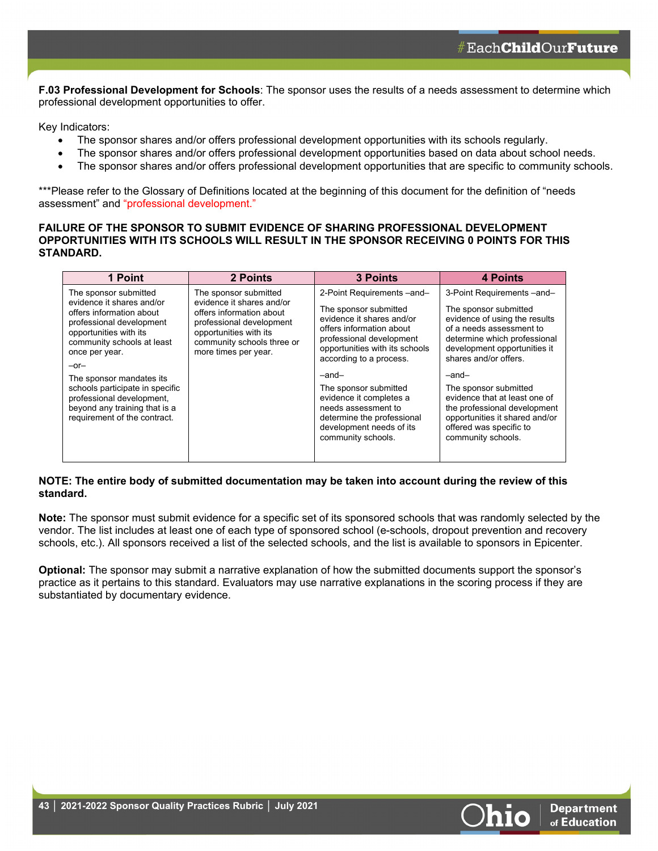**F.03 Professional Development for Schools**: The sponsor uses the results of a needs assessment to determine which professional development opportunities to offer.

Key Indicators:

- The sponsor shares and/or offers professional development opportunities with its schools regularly.
- The sponsor shares and/or offers professional development opportunities based on data about school needs.
- The sponsor shares and/or offers professional development opportunities that are specific to community schools.

\*\*\*Please refer to the Glossary of Definitions located at the beginning of this document for the definition of "needs" assessment" and "professional development."

#### **FAILURE OF THE SPONSOR TO SUBMIT EVIDENCE OF SHARING PROFESSIONAL DEVELOPMENT OPPORTUNITIES WITH ITS SCHOOLS WILL RESULT IN THE SPONSOR RECEIVING 0 POINTS FOR THIS STANDARD.**

| 1 Point                                                                                                                                                                                                                                                                                                                                                     | 2 Points                                                                                                                                                                                   | <b>3 Points</b>                                                                                                                                                                                                                                                                                                                                                          | <b>4 Points</b>                                                                                                                                                                                                                                                                                                                                                                                |
|-------------------------------------------------------------------------------------------------------------------------------------------------------------------------------------------------------------------------------------------------------------------------------------------------------------------------------------------------------------|--------------------------------------------------------------------------------------------------------------------------------------------------------------------------------------------|--------------------------------------------------------------------------------------------------------------------------------------------------------------------------------------------------------------------------------------------------------------------------------------------------------------------------------------------------------------------------|------------------------------------------------------------------------------------------------------------------------------------------------------------------------------------------------------------------------------------------------------------------------------------------------------------------------------------------------------------------------------------------------|
| The sponsor submitted<br>evidence it shares and/or<br>offers information about<br>professional development<br>opportunities with its<br>community schools at least<br>once per year.<br>$-0r-$<br>The sponsor mandates its<br>schools participate in specific<br>professional development,<br>beyond any training that is a<br>requirement of the contract. | The sponsor submitted<br>evidence it shares and/or<br>offers information about<br>professional development<br>opportunities with its<br>community schools three or<br>more times per year. | 2-Point Requirements-and-<br>The sponsor submitted<br>evidence it shares and/or<br>offers information about<br>professional development<br>opportunities with its schools<br>according to a process.<br>–and–<br>The sponsor submitted<br>evidence it completes a<br>needs assessment to<br>determine the professional<br>development needs of its<br>community schools. | 3-Point Requirements-and-<br>The sponsor submitted<br>evidence of using the results<br>of a needs assessment to<br>determine which professional<br>development opportunities it<br>shares and/or offers.<br>-and-<br>The sponsor submitted<br>evidence that at least one of<br>the professional development<br>opportunities it shared and/or<br>offered was specific to<br>community schools. |

#### **NOTE: The entire body of submitted documentation may be taken into account during the review of this standard.**

**Note:** The sponsor must submit evidence for a specific set of its sponsored schools that was randomly selected by the vendor. The list includes at least one of each type of sponsored school (e-schools, dropout prevention and recovery schools, etc.). All sponsors received a list of the selected schools, and the list is available to sponsors in Epicenter.